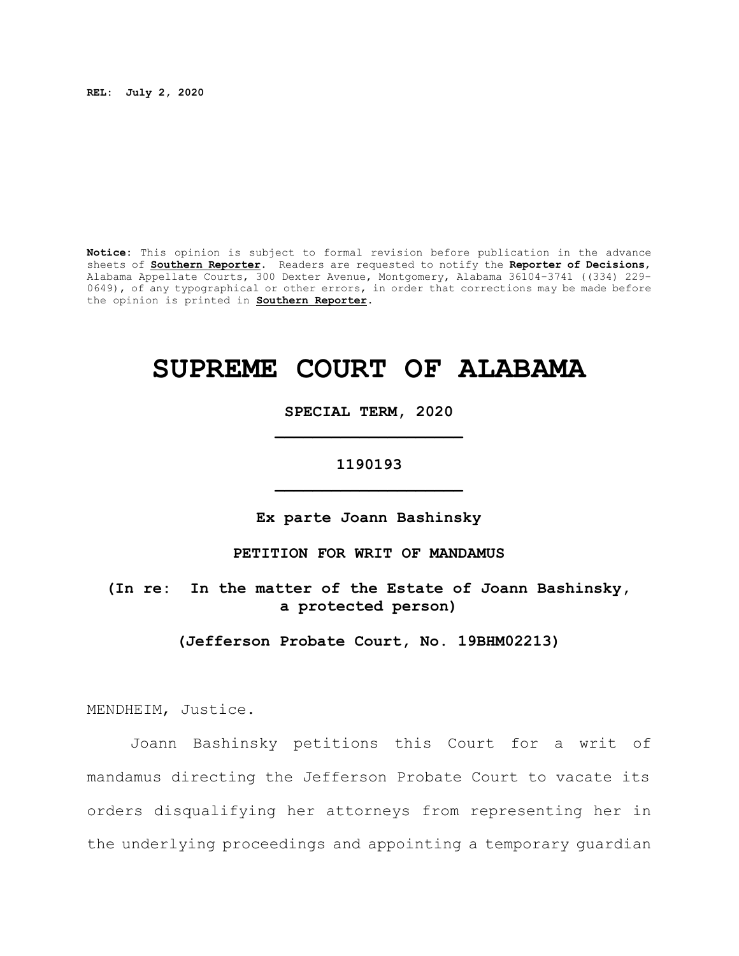**REL: July 2, 2020**

**Notice:** This opinion is subject to formal revision before publication in the advance sheets of **Southern Reporter**. Readers are requested to notify the **Reporter of Decisions**, Alabama Appellate Courts, 300 Dexter Avenue, Montgomery, Alabama 36104-3741 ((334) 229- 0649), of any typographical or other errors, in order that corrections may be made before the opinion is printed in **Southern Reporter**.

# **SUPREME COURT OF ALABAMA**

**SPECIAL TERM, 2020 \_\_\_\_\_\_\_\_\_\_\_\_\_\_\_\_\_\_\_\_**

## **1190193 \_\_\_\_\_\_\_\_\_\_\_\_\_\_\_\_\_\_\_\_**

**Ex parte Joann Bashinsky**

**PETITION FOR WRIT OF MANDAMUS**

**(In re: In the matter of the Estate of Joann Bashinsky, a protected person)**

**(Jefferson Probate Court, No. 19BHM02213)**

MENDHEIM, Justice.

Joann Bashinsky petitions this Court for a writ of mandamus directing the Jefferson Probate Court to vacate its orders disqualifying her attorneys from representing her in the underlying proceedings and appointing a temporary guardian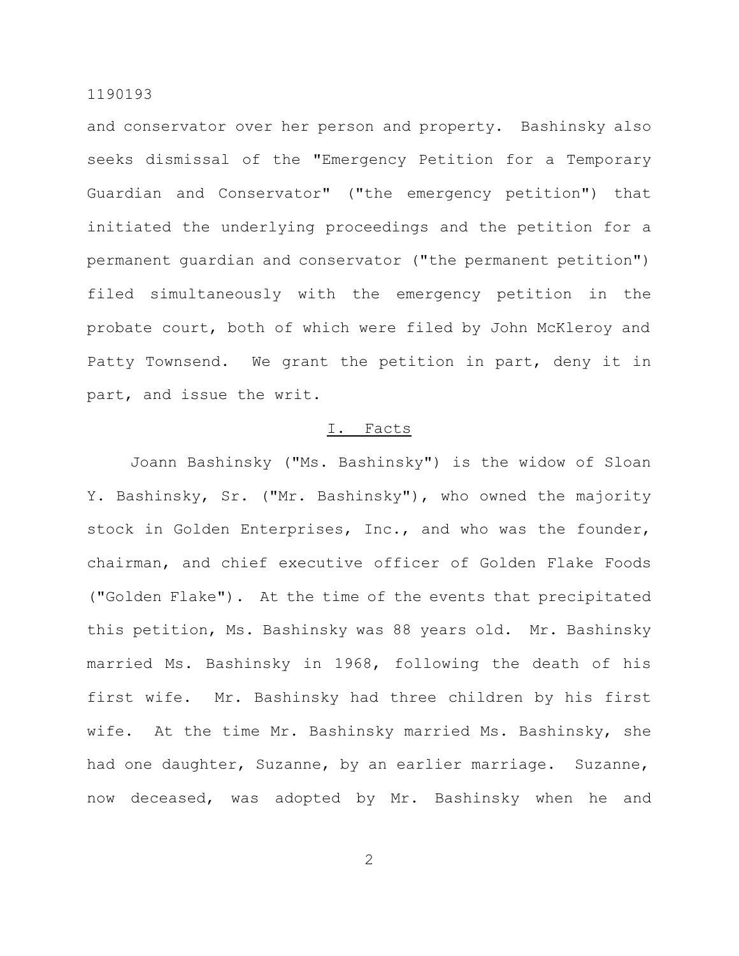and conservator over her person and property. Bashinsky also seeks dismissal of the "Emergency Petition for a Temporary Guardian and Conservator" ("the emergency petition") that initiated the underlying proceedings and the petition for a permanent guardian and conservator ("the permanent petition") filed simultaneously with the emergency petition in the probate court, both of which were filed by John McKleroy and Patty Townsend. We grant the petition in part, deny it in part, and issue the writ.

### I. Facts

Joann Bashinsky ("Ms. Bashinsky") is the widow of Sloan Y. Bashinsky, Sr. ("Mr. Bashinsky"), who owned the majority stock in Golden Enterprises, Inc., and who was the founder, chairman, and chief executive officer of Golden Flake Foods ("Golden Flake"). At the time of the events that precipitated this petition, Ms. Bashinsky was 88 years old. Mr. Bashinsky married Ms. Bashinsky in 1968, following the death of his first wife. Mr. Bashinsky had three children by his first wife. At the time Mr. Bashinsky married Ms. Bashinsky, she had one daughter, Suzanne, by an earlier marriage. Suzanne, now deceased, was adopted by Mr. Bashinsky when he and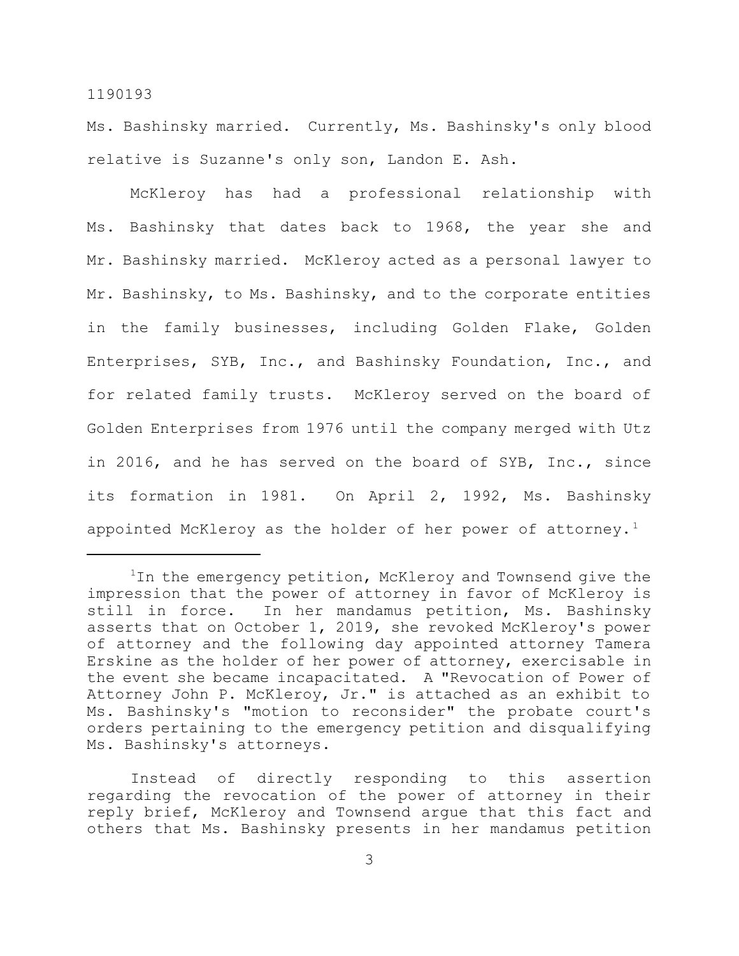Ms. Bashinsky married. Currently, Ms. Bashinsky's only blood relative is Suzanne's only son, Landon E. Ash.

McKleroy has had a professional relationship with Ms. Bashinsky that dates back to 1968, the year she and Mr. Bashinsky married. McKleroy acted as a personal lawyer to Mr. Bashinsky, to Ms. Bashinsky, and to the corporate entities in the family businesses, including Golden Flake, Golden Enterprises, SYB, Inc., and Bashinsky Foundation, Inc., and for related family trusts. McKleroy served on the board of Golden Enterprises from 1976 until the company merged with Utz in 2016, and he has served on the board of SYB, Inc., since its formation in 1981. On April 2, 1992, Ms. Bashinsky appointed McKleroy as the holder of her power of attorney.<sup>1</sup>

Instead of directly responding to this assertion regarding the revocation of the power of attorney in their reply brief, McKleroy and Townsend argue that this fact and others that Ms. Bashinsky presents in her mandamus petition

 $1$ In the emergency petition, McKleroy and Townsend give the impression that the power of attorney in favor of McKleroy is still in force. In her mandamus petition, Ms. Bashinsky asserts that on October 1, 2019, she revoked McKleroy's power of attorney and the following day appointed attorney Tamera Erskine as the holder of her power of attorney, exercisable in the event she became incapacitated. A "Revocation of Power of Attorney John P. McKleroy, Jr." is attached as an exhibit to Ms. Bashinsky's "motion to reconsider" the probate court's orders pertaining to the emergency petition and disqualifying Ms. Bashinsky's attorneys.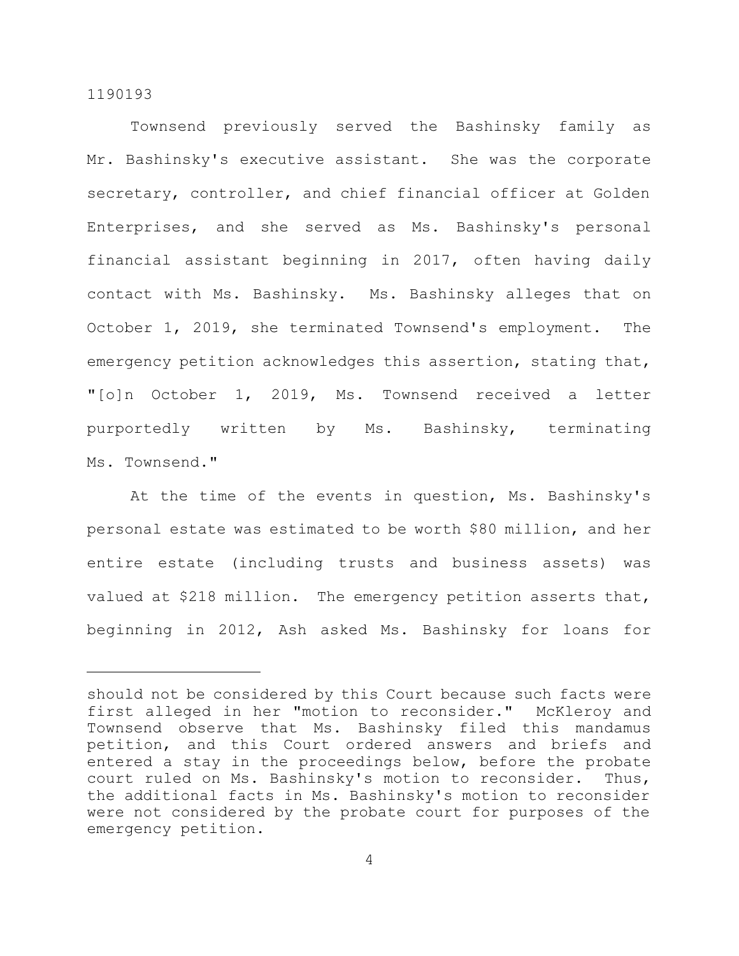Townsend previously served the Bashinsky family as Mr. Bashinsky's executive assistant. She was the corporate secretary, controller, and chief financial officer at Golden Enterprises, and she served as Ms. Bashinsky's personal financial assistant beginning in 2017, often having daily contact with Ms. Bashinsky. Ms. Bashinsky alleges that on October 1, 2019, she terminated Townsend's employment. The emergency petition acknowledges this assertion, stating that, "[o]n October 1, 2019, Ms. Townsend received a letter purportedly written by Ms. Bashinsky, terminating Ms. Townsend."

At the time of the events in question, Ms. Bashinsky's personal estate was estimated to be worth \$80 million, and her entire estate (including trusts and business assets) was valued at \$218 million. The emergency petition asserts that, beginning in 2012, Ash asked Ms. Bashinsky for loans for

should not be considered by this Court because such facts were first alleged in her "motion to reconsider." McKleroy and Townsend observe that Ms. Bashinsky filed this mandamus petition, and this Court ordered answers and briefs and entered a stay in the proceedings below, before the probate court ruled on Ms. Bashinsky's motion to reconsider. Thus, the additional facts in Ms. Bashinsky's motion to reconsider were not considered by the probate court for purposes of the emergency petition.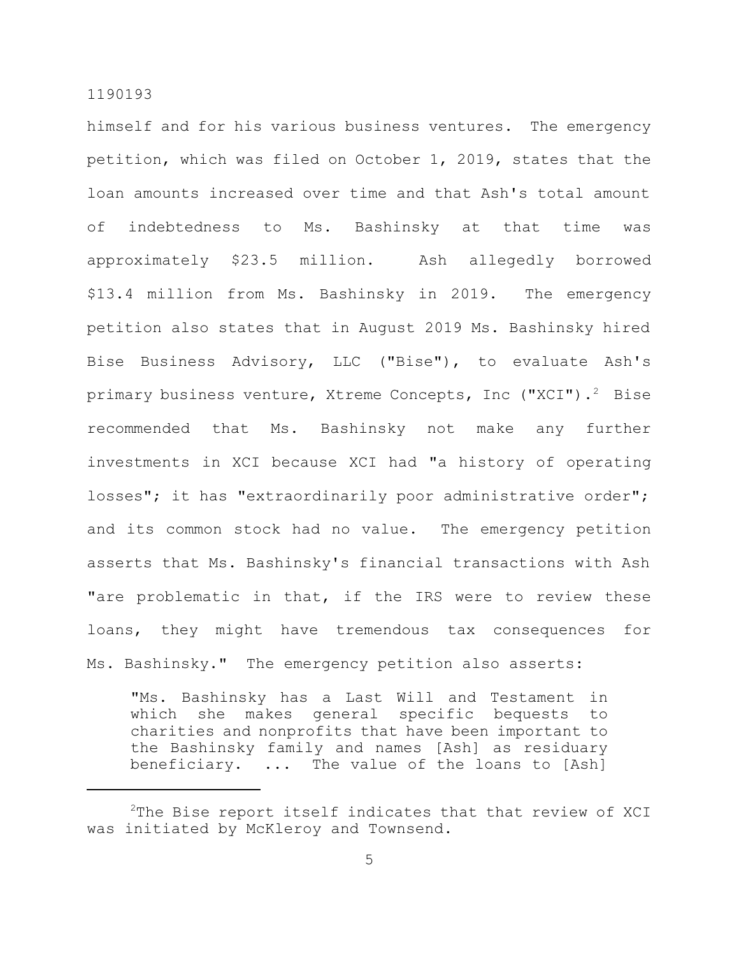himself and for his various business ventures. The emergency petition, which was filed on October 1, 2019, states that the loan amounts increased over time and that Ash's total amount of indebtedness to Ms. Bashinsky at that time was approximately \$23.5 million. Ash allegedly borrowed \$13.4 million from Ms. Bashinsky in 2019. The emergency petition also states that in August 2019 Ms. Bashinsky hired Bise Business Advisory, LLC ("Bise"), to evaluate Ash's primary business venture, Xtreme Concepts, Inc ("XCI").<sup>2</sup> Bise recommended that Ms. Bashinsky not make any further investments in XCI because XCI had "a history of operating losses"; it has "extraordinarily poor administrative order"; and its common stock had no value. The emergency petition asserts that Ms. Bashinsky's financial transactions with Ash "are problematic in that, if the IRS were to review these loans, they might have tremendous tax consequences for Ms. Bashinsky." The emergency petition also asserts:

"Ms. Bashinsky has a Last Will and Testament in which she makes general specific bequests to charities and nonprofits that have been important to the Bashinsky family and names [Ash] as residuary beneficiary. ... The value of the loans to [Ash]

<sup>&</sup>lt;sup>2</sup>The Bise report itself indicates that that review of XCI was initiated by McKleroy and Townsend.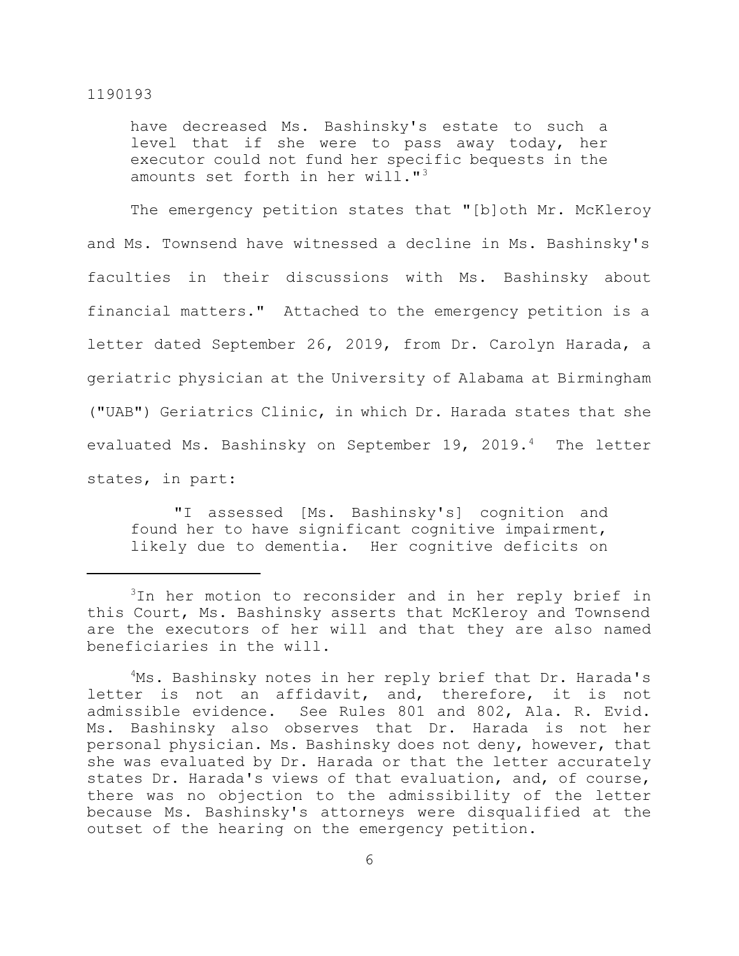have decreased Ms. Bashinsky's estate to such a level that if she were to pass away today, her executor could not fund her specific bequests in the amounts set forth in her will."<sup>3</sup>

The emergency petition states that "[b]oth Mr. McKleroy and Ms. Townsend have witnessed a decline in Ms. Bashinsky's faculties in their discussions with Ms. Bashinsky about financial matters." Attached to the emergency petition is a letter dated September 26, 2019, from Dr. Carolyn Harada, a geriatric physician at the University of Alabama at Birmingham ("UAB") Geriatrics Clinic, in which Dr. Harada states that she evaluated Ms. Bashinsky on September 19, 2019.<sup>4</sup> The letter states, in part:

"I assessed [Ms. Bashinsky's] cognition and found her to have significant cognitive impairment, likely due to dementia. Her cognitive deficits on

<sup>&</sup>lt;sup>3</sup>In her motion to reconsider and in her reply brief in this Court, Ms. Bashinsky asserts that McKleroy and Townsend are the executors of her will and that they are also named beneficiaries in the will.

<sup>&</sup>lt;sup>4</sup>Ms. Bashinsky notes in her reply brief that Dr. Harada's letter is not an affidavit, and, therefore, it is not admissible evidence. See Rules 801 and 802, Ala. R. Evid. Ms. Bashinsky also observes that Dr. Harada is not her personal physician. Ms. Bashinsky does not deny, however, that she was evaluated by Dr. Harada or that the letter accurately states Dr. Harada's views of that evaluation, and, of course, there was no objection to the admissibility of the letter because Ms. Bashinsky's attorneys were disqualified at the outset of the hearing on the emergency petition.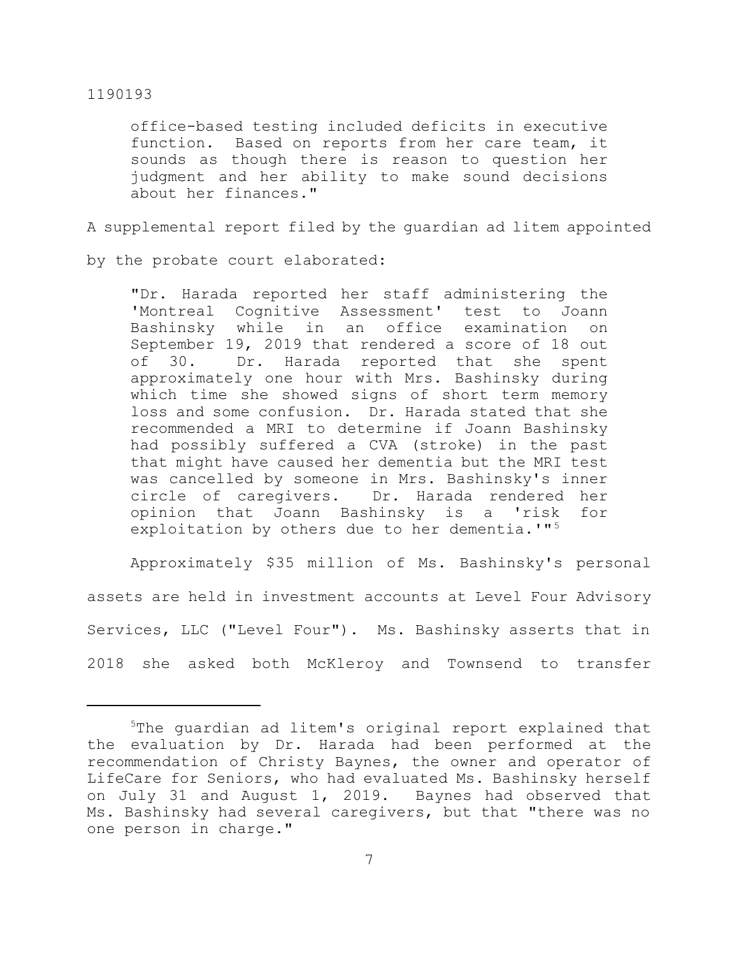office-based testing included deficits in executive function. Based on reports from her care team, it sounds as though there is reason to question her judgment and her ability to make sound decisions about her finances."

A supplemental report filed by the guardian ad litem appointed

by the probate court elaborated:

"Dr. Harada reported her staff administering the 'Montreal Cognitive Assessment' test to Joann Bashinsky while in an office examination on September 19, 2019 that rendered a score of 18 out of 30. Dr. Harada reported that she spent approximately one hour with Mrs. Bashinsky during which time she showed signs of short term memory loss and some confusion. Dr. Harada stated that she recommended a MRI to determine if Joann Bashinsky had possibly suffered a CVA (stroke) in the past that might have caused her dementia but the MRI test was cancelled by someone in Mrs. Bashinsky's inner circle of caregivers. Dr. Harada rendered her opinion that Joann Bashinsky is a 'risk for exploitation by others due to her dementia.'"<sup>5</sup>

Approximately \$35 million of Ms. Bashinsky's personal assets are held in investment accounts at Level Four Advisory Services, LLC ("Level Four"). Ms. Bashinsky asserts that in 2018 she asked both McKleroy and Townsend to transfer

<sup>&</sup>lt;sup>5</sup>The quardian ad litem's original report explained that the evaluation by Dr. Harada had been performed at the recommendation of Christy Baynes, the owner and operator of LifeCare for Seniors, who had evaluated Ms. Bashinsky herself on July 31 and August 1, 2019. Baynes had observed that Ms. Bashinsky had several caregivers, but that "there was no one person in charge."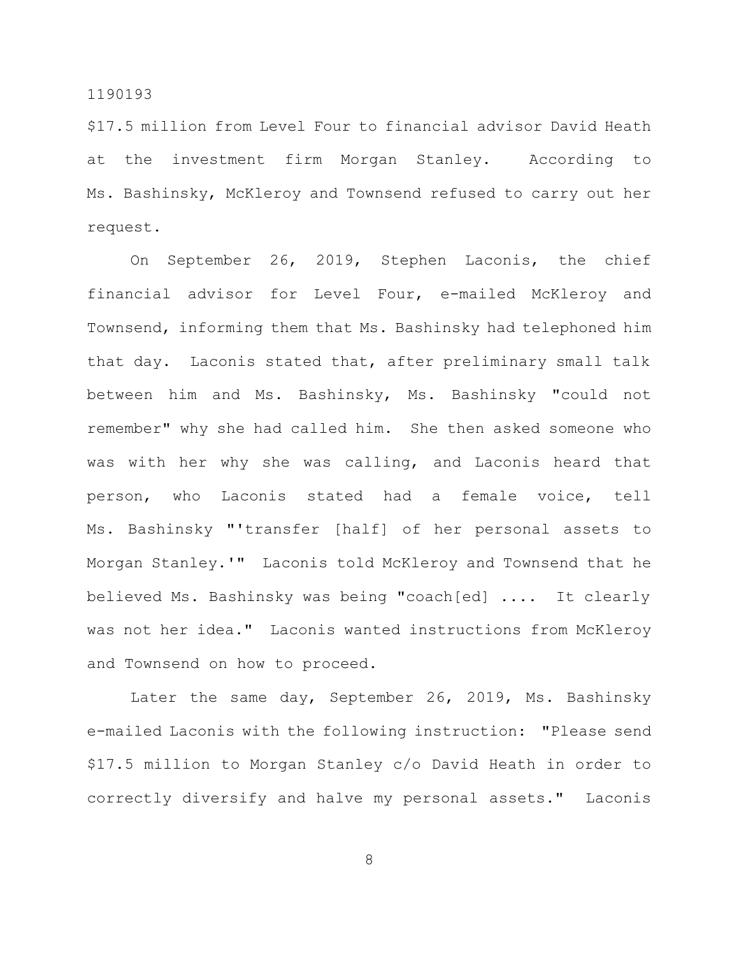\$17.5 million from Level Four to financial advisor David Heath at the investment firm Morgan Stanley. According to Ms. Bashinsky, McKleroy and Townsend refused to carry out her request.

On September 26, 2019, Stephen Laconis, the chief financial advisor for Level Four, e-mailed McKleroy and Townsend, informing them that Ms. Bashinsky had telephoned him that day. Laconis stated that, after preliminary small talk between him and Ms. Bashinsky, Ms. Bashinsky "could not remember" why she had called him. She then asked someone who was with her why she was calling, and Laconis heard that person, who Laconis stated had a female voice, tell Ms. Bashinsky "'transfer [half] of her personal assets to Morgan Stanley.'" Laconis told McKleroy and Townsend that he believed Ms. Bashinsky was being "coach[ed] .... It clearly was not her idea." Laconis wanted instructions from McKleroy and Townsend on how to proceed.

Later the same day, September 26, 2019, Ms. Bashinsky e-mailed Laconis with the following instruction: "Please send \$17.5 million to Morgan Stanley c/o David Heath in order to correctly diversify and halve my personal assets." Laconis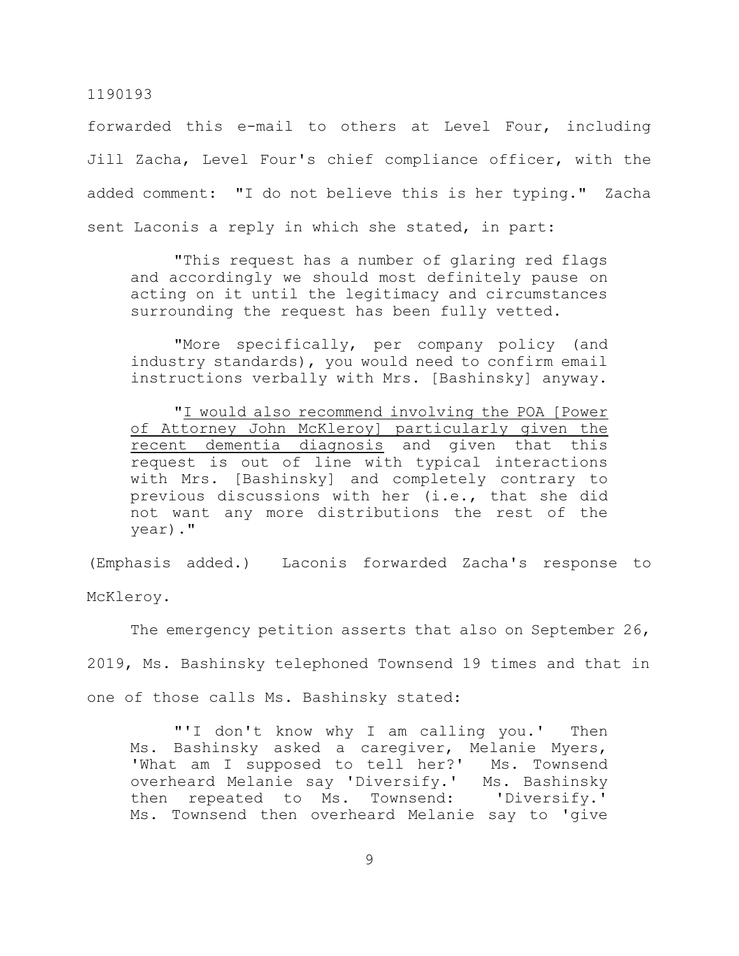forwarded this e-mail to others at Level Four, including Jill Zacha, Level Four's chief compliance officer, with the added comment: "I do not believe this is her typing." Zacha sent Laconis a reply in which she stated, in part:

"This request has a number of glaring red flags and accordingly we should most definitely pause on acting on it until the legitimacy and circumstances surrounding the request has been fully vetted.

"More specifically, per company policy (and industry standards), you would need to confirm email instructions verbally with Mrs. [Bashinsky] anyway.

"I would also recommend involving the POA [Power of Attorney John McKleroy] particularly given the recent dementia diagnosis and given that this request is out of line with typical interactions with Mrs. [Bashinsky] and completely contrary to previous discussions with her (i.e., that she did not want any more distributions the rest of the year)."

(Emphasis added.) Laconis forwarded Zacha's response to McKleroy.

The emergency petition asserts that also on September 26, 2019, Ms. Bashinsky telephoned Townsend 19 times and that in one of those calls Ms. Bashinsky stated:

"'I don't know why I am calling you.' Then Ms. Bashinsky asked a caregiver, Melanie Myers, 'What am I supposed to tell her?' Ms. Townsend overheard Melanie say 'Diversify.' Ms. Bashinsky then repeated to Ms. Townsend: 'Diversify.' Ms. Townsend then overheard Melanie say to 'give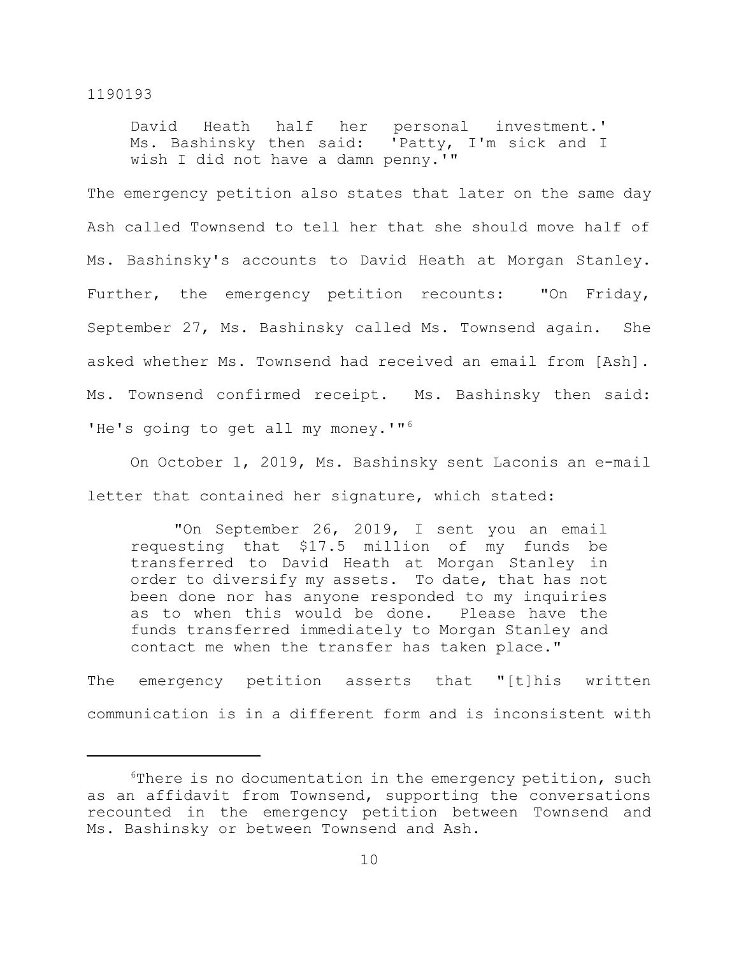David Heath half her personal investment.' Ms. Bashinsky then said: 'Patty, I'm sick and I wish I did not have a damn penny.'"

The emergency petition also states that later on the same day Ash called Townsend to tell her that she should move half of Ms. Bashinsky's accounts to David Heath at Morgan Stanley. Further, the emergency petition recounts: "On Friday, September 27, Ms. Bashinsky called Ms. Townsend again. She asked whether Ms. Townsend had received an email from [Ash]. Ms. Townsend confirmed receipt. Ms. Bashinsky then said: 'He's going to get all my money.'"<sup>6</sup>

On October 1, 2019, Ms. Bashinsky sent Laconis an e-mail letter that contained her signature, which stated:

"On September 26, 2019, I sent you an email requesting that \$17.5 million of my funds be transferred to David Heath at Morgan Stanley in order to diversify my assets. To date, that has not been done nor has anyone responded to my inquiries as to when this would be done. Please have the funds transferred immediately to Morgan Stanley and contact me when the transfer has taken place."

The emergency petition asserts that "[t]his written communication is in a different form and is inconsistent with

 $6$ There is no documentation in the emergency petition, such as an affidavit from Townsend, supporting the conversations recounted in the emergency petition between Townsend and Ms. Bashinsky or between Townsend and Ash.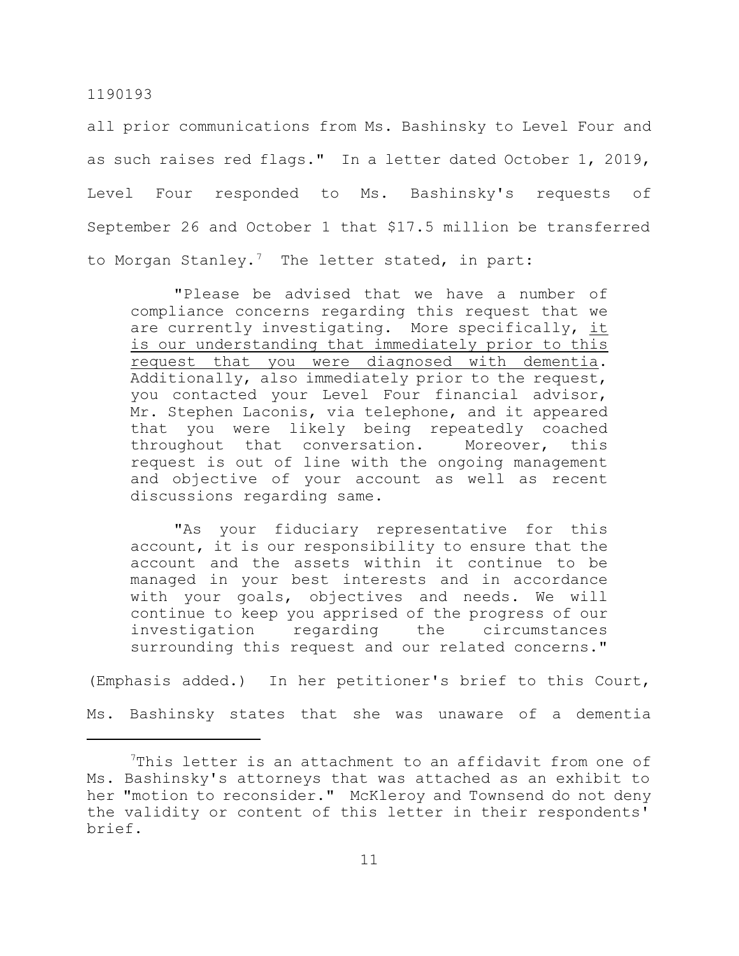all prior communications from Ms. Bashinsky to Level Four and as such raises red flags." In a letter dated October 1, 2019, Level Four responded to Ms. Bashinsky's requests of September 26 and October 1 that \$17.5 million be transferred to Morgan Stanley.<sup>7</sup> The letter stated, in part:

"Please be advised that we have a number of compliance concerns regarding this request that we are currently investigating. More specifically, it is our understanding that immediately prior to this request that you were diagnosed with dementia. Additionally, also immediately prior to the request, you contacted your Level Four financial advisor, Mr. Stephen Laconis, via telephone, and it appeared that you were likely being repeatedly coached throughout that conversation. Moreover, this request is out of line with the ongoing management and objective of your account as well as recent discussions regarding same.

"As your fiduciary representative for this account, it is our responsibility to ensure that the account and the assets within it continue to be managed in your best interests and in accordance with your goals, objectives and needs. We will continue to keep you apprised of the progress of our investigation regarding the circumstances surrounding this request and our related concerns."

(Emphasis added.) In her petitioner's brief to this Court,

Ms. Bashinsky states that she was unaware of a dementia

 $7$ This letter is an attachment to an affidavit from one of Ms. Bashinsky's attorneys that was attached as an exhibit to her "motion to reconsider." McKleroy and Townsend do not deny the validity or content of this letter in their respondents' brief.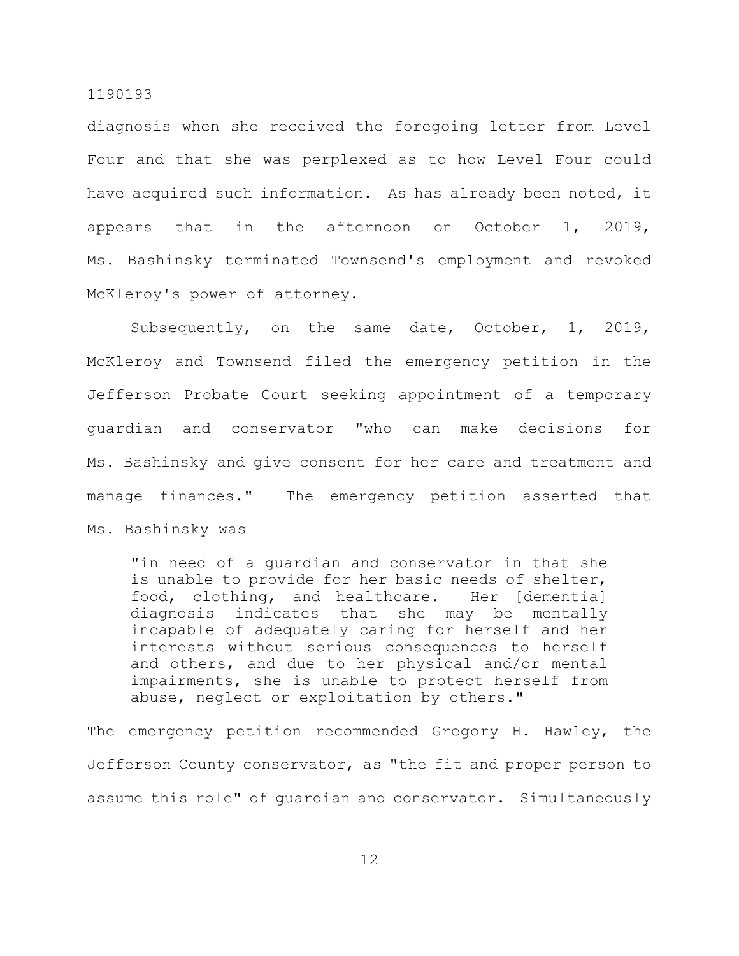diagnosis when she received the foregoing letter from Level Four and that she was perplexed as to how Level Four could have acquired such information. As has already been noted, it appears that in the afternoon on October 1, 2019, Ms. Bashinsky terminated Townsend's employment and revoked McKleroy's power of attorney.

Subsequently, on the same date, October, 1, 2019, McKleroy and Townsend filed the emergency petition in the Jefferson Probate Court seeking appointment of a temporary guardian and conservator "who can make decisions for Ms. Bashinsky and give consent for her care and treatment and manage finances." The emergency petition asserted that Ms. Bashinsky was

"in need of a guardian and conservator in that she is unable to provide for her basic needs of shelter, food, clothing, and healthcare. Her [dementia] diagnosis indicates that she may be mentally incapable of adequately caring for herself and her interests without serious consequences to herself and others, and due to her physical and/or mental impairments, she is unable to protect herself from abuse, neglect or exploitation by others."

The emergency petition recommended Gregory H. Hawley, the Jefferson County conservator, as "the fit and proper person to assume this role" of guardian and conservator. Simultaneously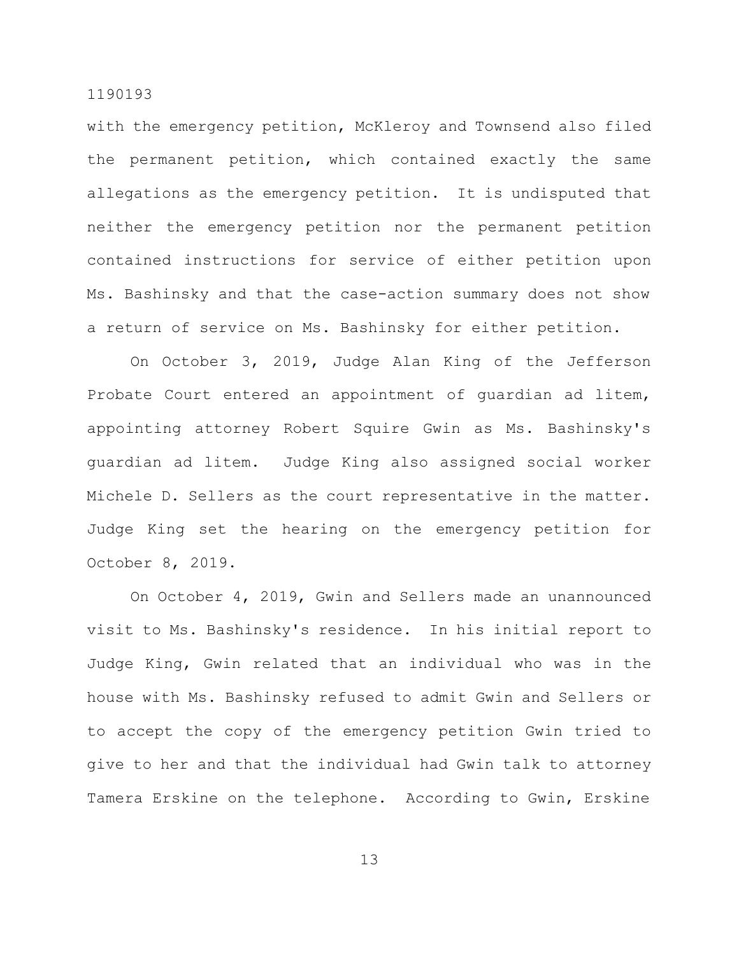with the emergency petition, McKleroy and Townsend also filed the permanent petition, which contained exactly the same allegations as the emergency petition. It is undisputed that neither the emergency petition nor the permanent petition contained instructions for service of either petition upon Ms. Bashinsky and that the case-action summary does not show a return of service on Ms. Bashinsky for either petition.

On October 3, 2019, Judge Alan King of the Jefferson Probate Court entered an appointment of guardian ad litem, appointing attorney Robert Squire Gwin as Ms. Bashinsky's guardian ad litem. Judge King also assigned social worker Michele D. Sellers as the court representative in the matter. Judge King set the hearing on the emergency petition for October 8, 2019.

On October 4, 2019, Gwin and Sellers made an unannounced visit to Ms. Bashinsky's residence. In his initial report to Judge King, Gwin related that an individual who was in the house with Ms. Bashinsky refused to admit Gwin and Sellers or to accept the copy of the emergency petition Gwin tried to give to her and that the individual had Gwin talk to attorney Tamera Erskine on the telephone. According to Gwin, Erskine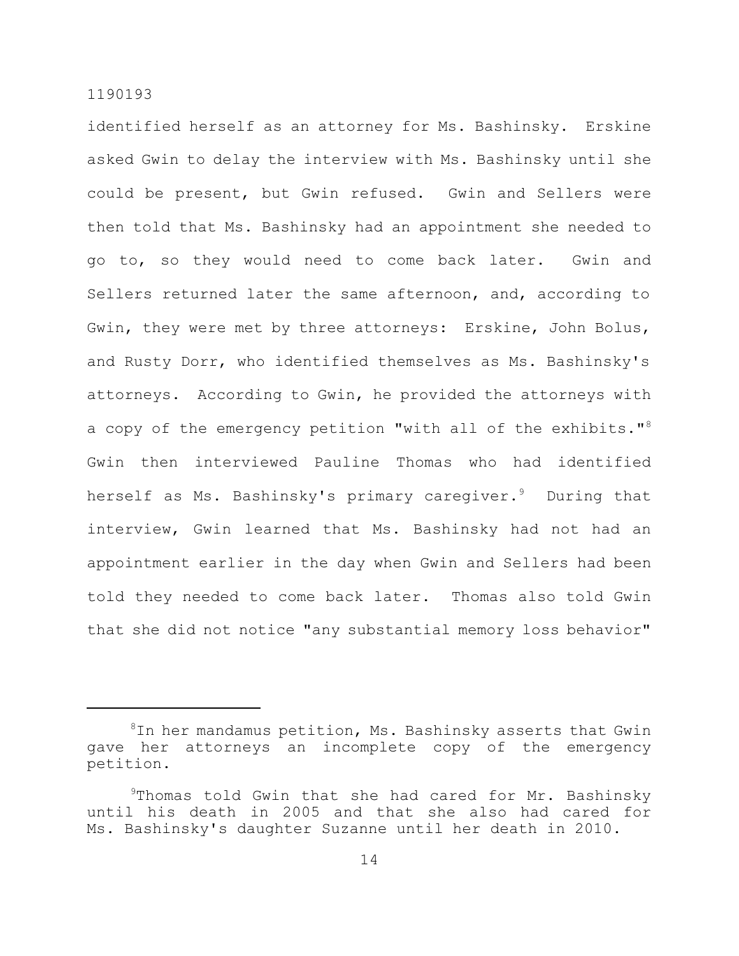identified herself as an attorney for Ms. Bashinsky. Erskine asked Gwin to delay the interview with Ms. Bashinsky until she could be present, but Gwin refused. Gwin and Sellers were then told that Ms. Bashinsky had an appointment she needed to go to, so they would need to come back later. Gwin and Sellers returned later the same afternoon, and, according to Gwin, they were met by three attorneys: Erskine, John Bolus, and Rusty Dorr, who identified themselves as Ms. Bashinsky's attorneys. According to Gwin, he provided the attorneys with a copy of the emergency petition "with all of the exhibits."<sup>8</sup> Gwin then interviewed Pauline Thomas who had identified herself as Ms. Bashinsky's primary caregiver. <sup>9</sup> During that interview, Gwin learned that Ms. Bashinsky had not had an appointment earlier in the day when Gwin and Sellers had been told they needed to come back later. Thomas also told Gwin that she did not notice "any substantial memory loss behavior"

 ${}^{8}$ In her mandamus petition, Ms. Bashinsky asserts that Gwin gave her attorneys an incomplete copy of the emergency petition.

<sup>&</sup>lt;sup>9</sup>Thomas told Gwin that she had cared for Mr. Bashinsky until his death in 2005 and that she also had cared for Ms. Bashinsky's daughter Suzanne until her death in 2010.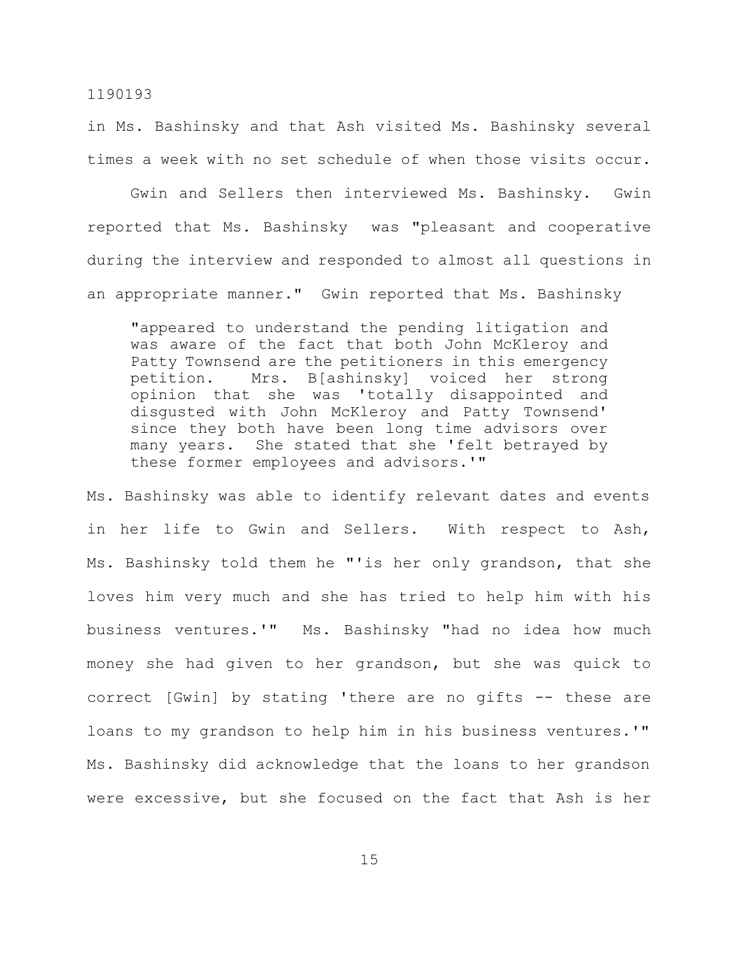in Ms. Bashinsky and that Ash visited Ms. Bashinsky several times a week with no set schedule of when those visits occur.

Gwin and Sellers then interviewed Ms. Bashinsky. Gwin reported that Ms. Bashinsky was "pleasant and cooperative during the interview and responded to almost all questions in an appropriate manner." Gwin reported that Ms. Bashinsky

"appeared to understand the pending litigation and was aware of the fact that both John McKleroy and Patty Townsend are the petitioners in this emergency petition. Mrs. B[ashinsky] voiced her strong opinion that she was 'totally disappointed and disgusted with John McKleroy and Patty Townsend' since they both have been long time advisors over many years. She stated that she 'felt betrayed by these former employees and advisors.'"

Ms. Bashinsky was able to identify relevant dates and events in her life to Gwin and Sellers. With respect to Ash, Ms. Bashinsky told them he "'is her only grandson, that she loves him very much and she has tried to help him with his business ventures.'" Ms. Bashinsky "had no idea how much money she had given to her grandson, but she was quick to correct [Gwin] by stating 'there are no gifts -- these are loans to my grandson to help him in his business ventures.'" Ms. Bashinsky did acknowledge that the loans to her grandson were excessive, but she focused on the fact that Ash is her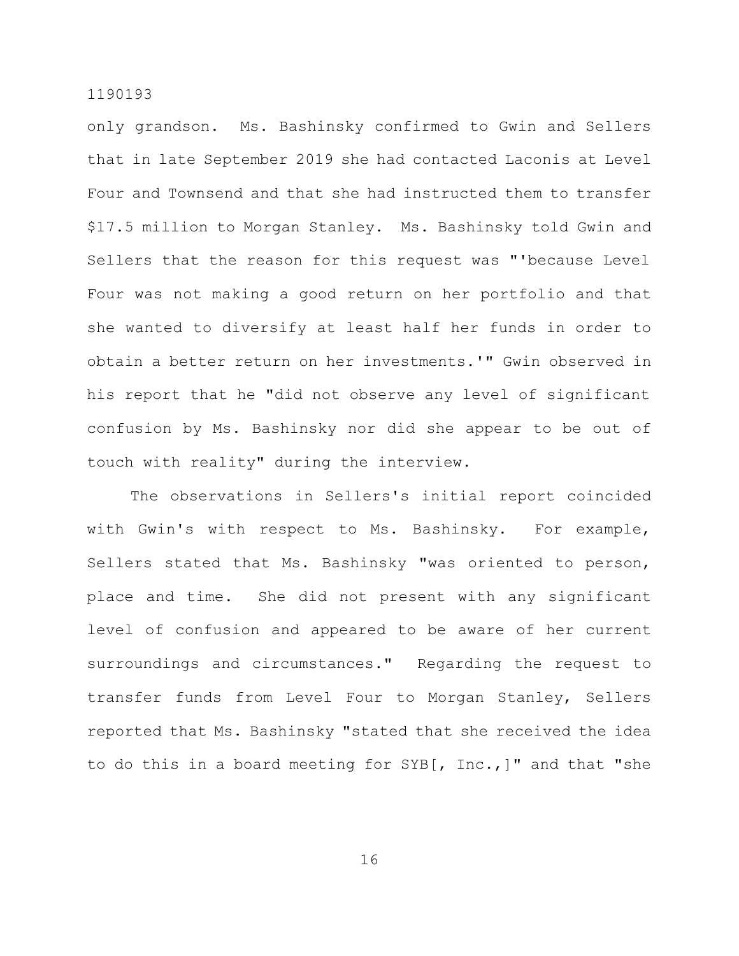only grandson. Ms. Bashinsky confirmed to Gwin and Sellers that in late September 2019 she had contacted Laconis at Level Four and Townsend and that she had instructed them to transfer \$17.5 million to Morgan Stanley. Ms. Bashinsky told Gwin and Sellers that the reason for this request was "'because Level Four was not making a good return on her portfolio and that she wanted to diversify at least half her funds in order to obtain a better return on her investments.'" Gwin observed in his report that he "did not observe any level of significant confusion by Ms. Bashinsky nor did she appear to be out of touch with reality" during the interview.

The observations in Sellers's initial report coincided with Gwin's with respect to Ms. Bashinsky. For example, Sellers stated that Ms. Bashinsky "was oriented to person, place and time. She did not present with any significant level of confusion and appeared to be aware of her current surroundings and circumstances." Regarding the request to transfer funds from Level Four to Morgan Stanley, Sellers reported that Ms. Bashinsky "stated that she received the idea to do this in a board meeting for SYB[, Inc.,]" and that "she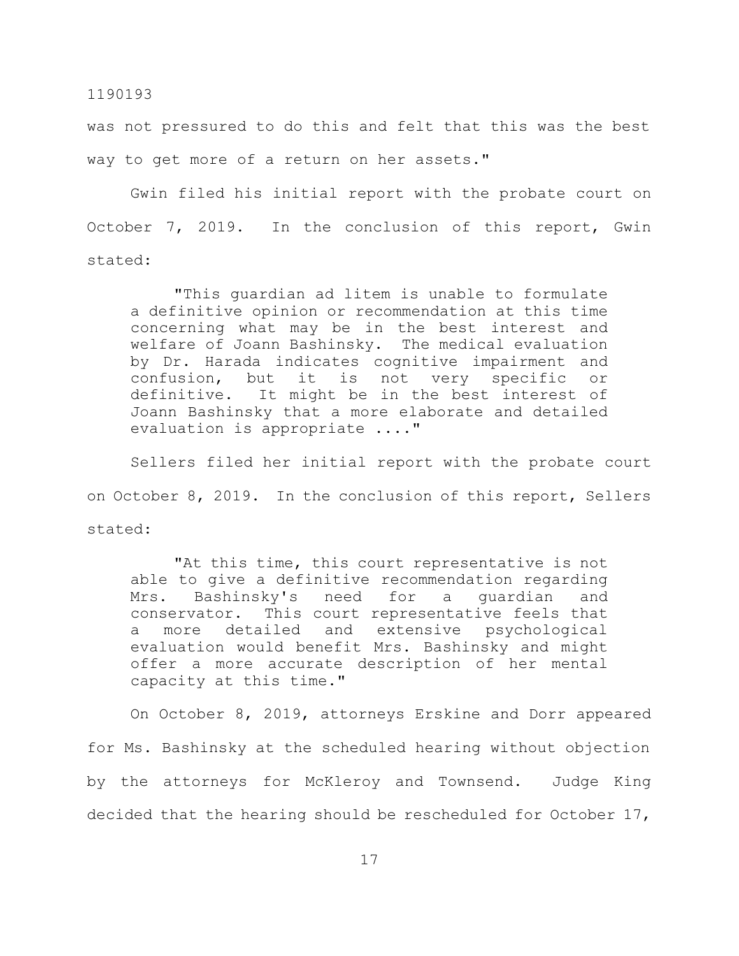was not pressured to do this and felt that this was the best way to get more of a return on her assets."

Gwin filed his initial report with the probate court on October 7, 2019. In the conclusion of this report, Gwin stated:

"This guardian ad litem is unable to formulate a definitive opinion or recommendation at this time concerning what may be in the best interest and welfare of Joann Bashinsky. The medical evaluation by Dr. Harada indicates cognitive impairment and confusion, but it is not very specific or definitive. It might be in the best interest of Joann Bashinsky that a more elaborate and detailed evaluation is appropriate ...."

Sellers filed her initial report with the probate court on October 8, 2019. In the conclusion of this report, Sellers stated:

"At this time, this court representative is not able to give a definitive recommendation regarding Mrs. Bashinsky's need for a guardian and conservator. This court representative feels that a more detailed and extensive psychological evaluation would benefit Mrs. Bashinsky and might offer a more accurate description of her mental capacity at this time."

On October 8, 2019, attorneys Erskine and Dorr appeared for Ms. Bashinsky at the scheduled hearing without objection by the attorneys for McKleroy and Townsend. Judge King decided that the hearing should be rescheduled for October 17,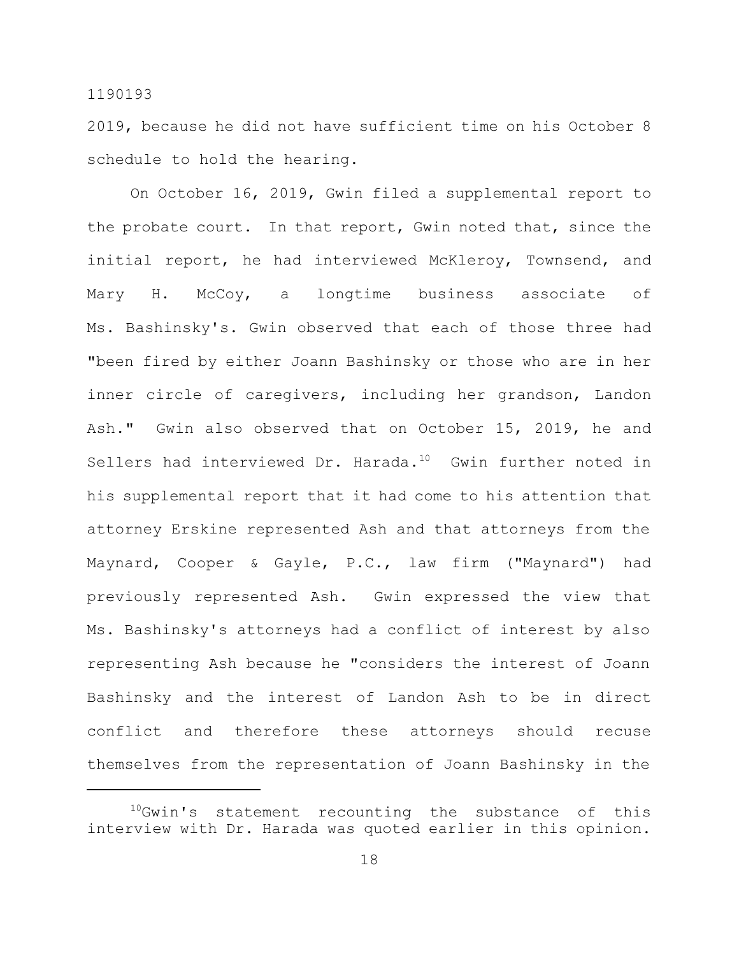2019, because he did not have sufficient time on his October 8 schedule to hold the hearing.

On October 16, 2019, Gwin filed a supplemental report to the probate court. In that report, Gwin noted that, since the initial report, he had interviewed McKleroy, Townsend, and Mary H. McCoy, a longtime business associate of Ms. Bashinsky's. Gwin observed that each of those three had "been fired by either Joann Bashinsky or those who are in her inner circle of caregivers, including her grandson, Landon Ash." Gwin also observed that on October 15, 2019, he and Sellers had interviewed Dr. Harada.<sup>10</sup> Gwin further noted in his supplemental report that it had come to his attention that attorney Erskine represented Ash and that attorneys from the Maynard, Cooper & Gayle, P.C., law firm ("Maynard") had previously represented Ash. Gwin expressed the view that Ms. Bashinsky's attorneys had a conflict of interest by also representing Ash because he "considers the interest of Joann Bashinsky and the interest of Landon Ash to be in direct conflict and therefore these attorneys should recuse themselves from the representation of Joann Bashinsky in the

<sup>&</sup>lt;sup>10</sup>Gwin's statement recounting the substance of this interview with Dr. Harada was quoted earlier in this opinion.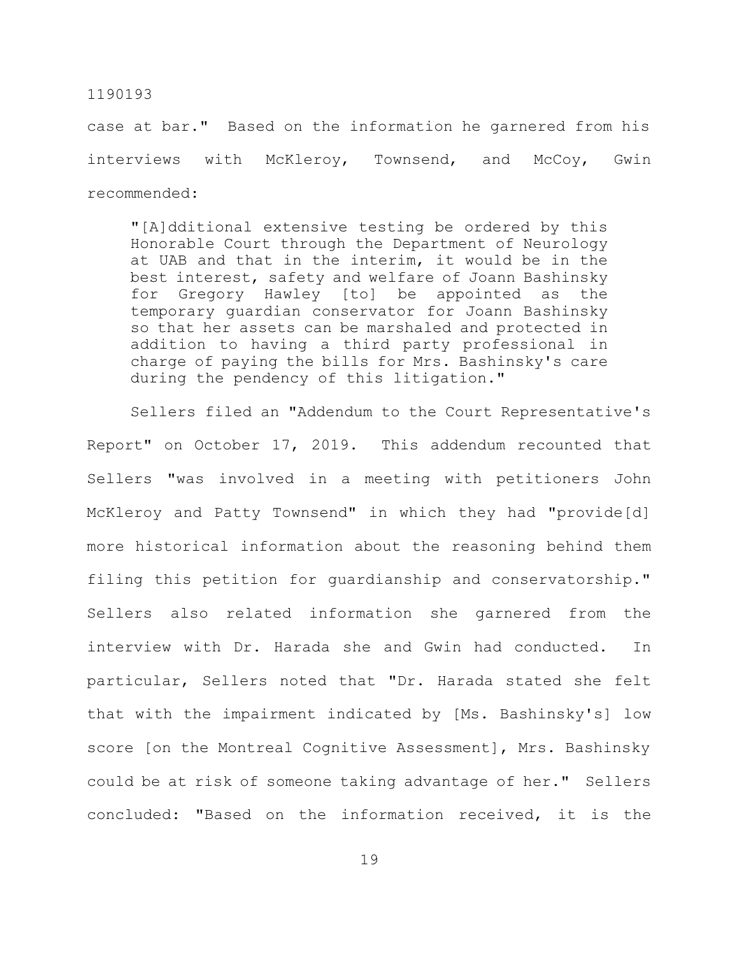case at bar." Based on the information he garnered from his interviews with McKleroy, Townsend, and McCoy, Gwin recommended:

"[A]dditional extensive testing be ordered by this Honorable Court through the Department of Neurology at UAB and that in the interim, it would be in the best interest, safety and welfare of Joann Bashinsky for Gregory Hawley [to] be appointed as the temporary guardian conservator for Joann Bashinsky so that her assets can be marshaled and protected in addition to having a third party professional in charge of paying the bills for Mrs. Bashinsky's care during the pendency of this litigation."

Sellers filed an "Addendum to the Court Representative's Report" on October 17, 2019. This addendum recounted that Sellers "was involved in a meeting with petitioners John McKleroy and Patty Townsend" in which they had "provide[d] more historical information about the reasoning behind them filing this petition for guardianship and conservatorship." Sellers also related information she garnered from the interview with Dr. Harada she and Gwin had conducted. In particular, Sellers noted that "Dr. Harada stated she felt that with the impairment indicated by [Ms. Bashinsky's] low score [on the Montreal Cognitive Assessment], Mrs. Bashinsky could be at risk of someone taking advantage of her." Sellers concluded: "Based on the information received, it is the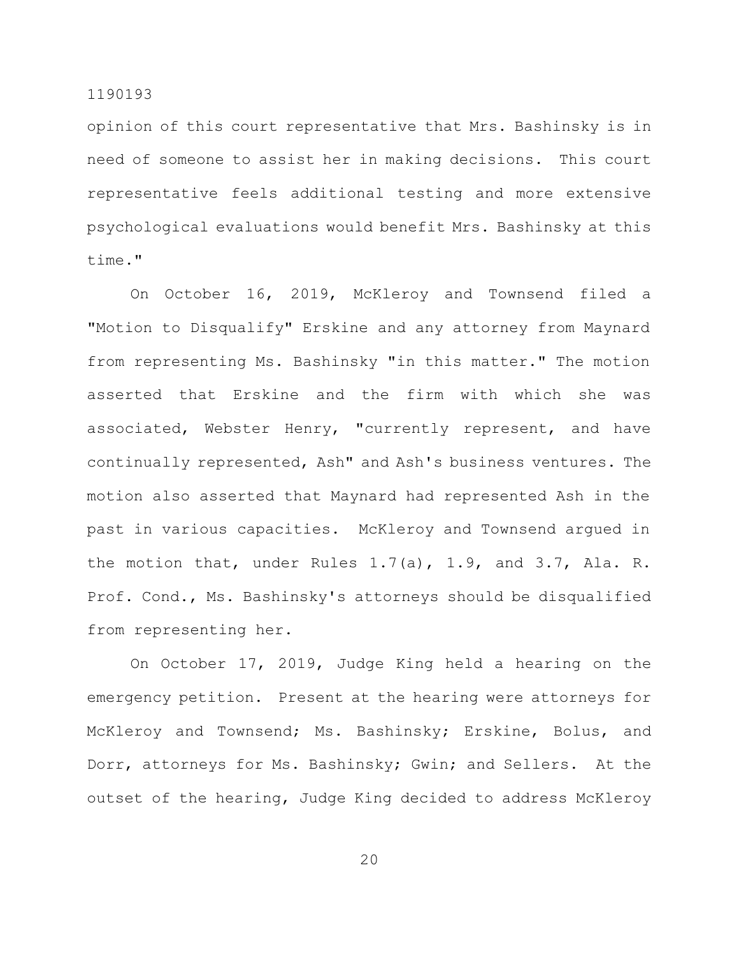opinion of this court representative that Mrs. Bashinsky is in need of someone to assist her in making decisions. This court representative feels additional testing and more extensive psychological evaluations would benefit Mrs. Bashinsky at this time."

On October 16, 2019, McKleroy and Townsend filed a "Motion to Disqualify" Erskine and any attorney from Maynard from representing Ms. Bashinsky "in this matter." The motion asserted that Erskine and the firm with which she was associated, Webster Henry, "currently represent, and have continually represented, Ash" and Ash's business ventures. The motion also asserted that Maynard had represented Ash in the past in various capacities. McKleroy and Townsend argued in the motion that, under Rules 1.7(a), 1.9, and 3.7, Ala. R. Prof. Cond., Ms. Bashinsky's attorneys should be disqualified from representing her.

On October 17, 2019, Judge King held a hearing on the emergency petition. Present at the hearing were attorneys for McKleroy and Townsend; Ms. Bashinsky; Erskine, Bolus, and Dorr, attorneys for Ms. Bashinsky; Gwin; and Sellers. At the outset of the hearing, Judge King decided to address McKleroy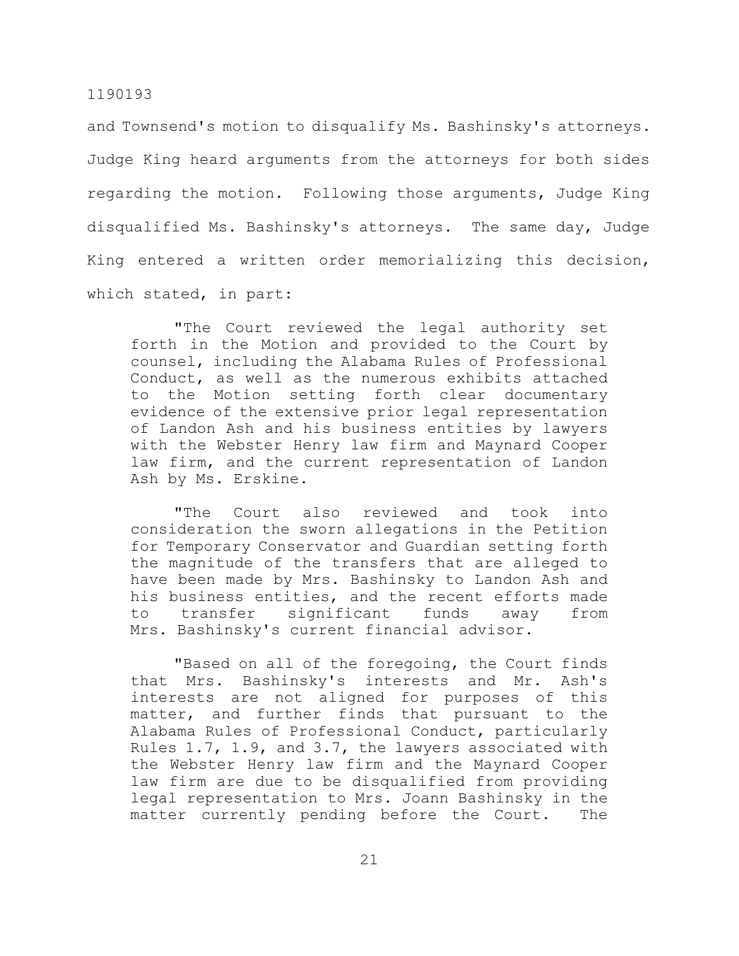and Townsend's motion to disqualify Ms. Bashinsky's attorneys. Judge King heard arguments from the attorneys for both sides regarding the motion. Following those arguments, Judge King disqualified Ms. Bashinsky's attorneys. The same day, Judge King entered a written order memorializing this decision, which stated, in part:

"The Court reviewed the legal authority set forth in the Motion and provided to the Court by counsel, including the Alabama Rules of Professional Conduct, as well as the numerous exhibits attached to the Motion setting forth clear documentary evidence of the extensive prior legal representation of Landon Ash and his business entities by lawyers with the Webster Henry law firm and Maynard Cooper law firm, and the current representation of Landon Ash by Ms. Erskine.

"The Court also reviewed and took into consideration the sworn allegations in the Petition for Temporary Conservator and Guardian setting forth the magnitude of the transfers that are alleged to have been made by Mrs. Bashinsky to Landon Ash and his business entities, and the recent efforts made to transfer significant funds away from Mrs. Bashinsky's current financial advisor.

"Based on all of the foregoing, the Court finds that Mrs. Bashinsky's interests and Mr. Ash's interests are not aligned for purposes of this matter, and further finds that pursuant to the Alabama Rules of Professional Conduct, particularly Rules 1.7, 1.9, and 3.7, the lawyers associated with the Webster Henry law firm and the Maynard Cooper law firm are due to be disqualified from providing legal representation to Mrs. Joann Bashinsky in the matter currently pending before the Court. The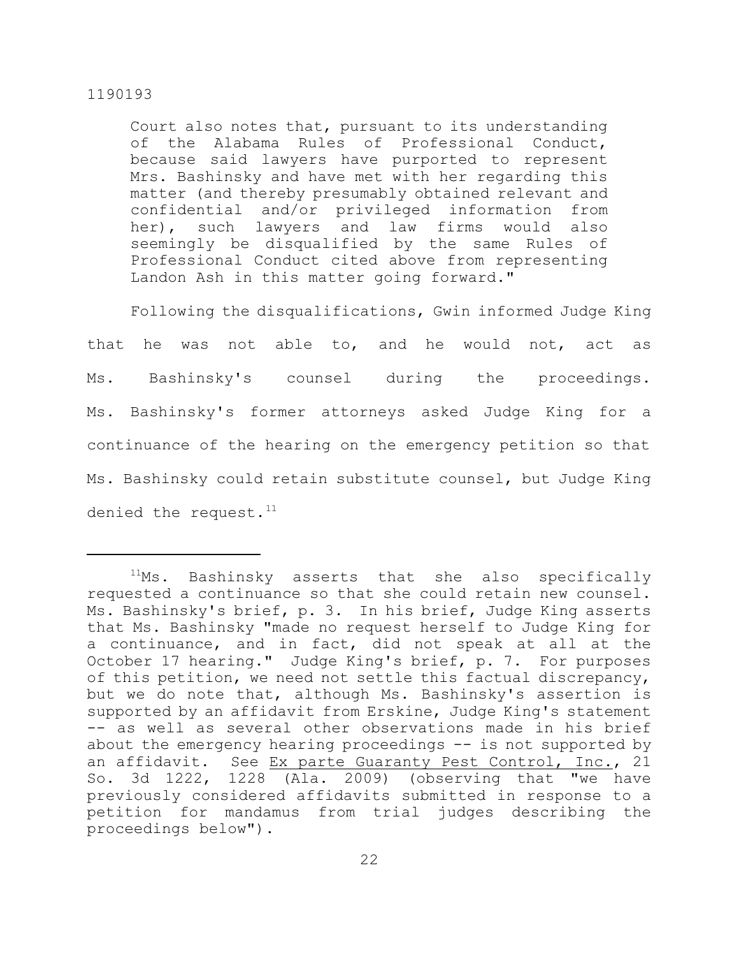Court also notes that, pursuant to its understanding of the Alabama Rules of Professional Conduct, because said lawyers have purported to represent Mrs. Bashinsky and have met with her regarding this matter (and thereby presumably obtained relevant and confidential and/or privileged information from her), such lawyers and law firms would also seemingly be disqualified by the same Rules of Professional Conduct cited above from representing Landon Ash in this matter going forward."

Following the disqualifications, Gwin informed Judge King

that he was not able to, and he would not, act as Ms. Bashinsky's counsel during the proceedings. Ms. Bashinsky's former attorneys asked Judge King for a continuance of the hearing on the emergency petition so that Ms. Bashinsky could retain substitute counsel, but Judge King denied the request. $11$ 

 $11$ Ms. Bashinsky asserts that she also specifically requested a continuance so that she could retain new counsel. Ms. Bashinsky's brief, p. 3. In his brief, Judge King asserts that Ms. Bashinsky "made no request herself to Judge King for a continuance, and in fact, did not speak at all at the October 17 hearing." Judge King's brief, p. 7. For purposes of this petition, we need not settle this factual discrepancy, but we do note that, although Ms. Bashinsky's assertion is supported by an affidavit from Erskine, Judge King's statement -- as well as several other observations made in his brief about the emergency hearing proceedings -- is not supported by an affidavit. See Ex parte Guaranty Pest Control, Inc., 21 So. 3d 1222, 1228 (Ala. 2009) (observing that "we have previously considered affidavits submitted in response to a petition for mandamus from trial judges describing the proceedings below").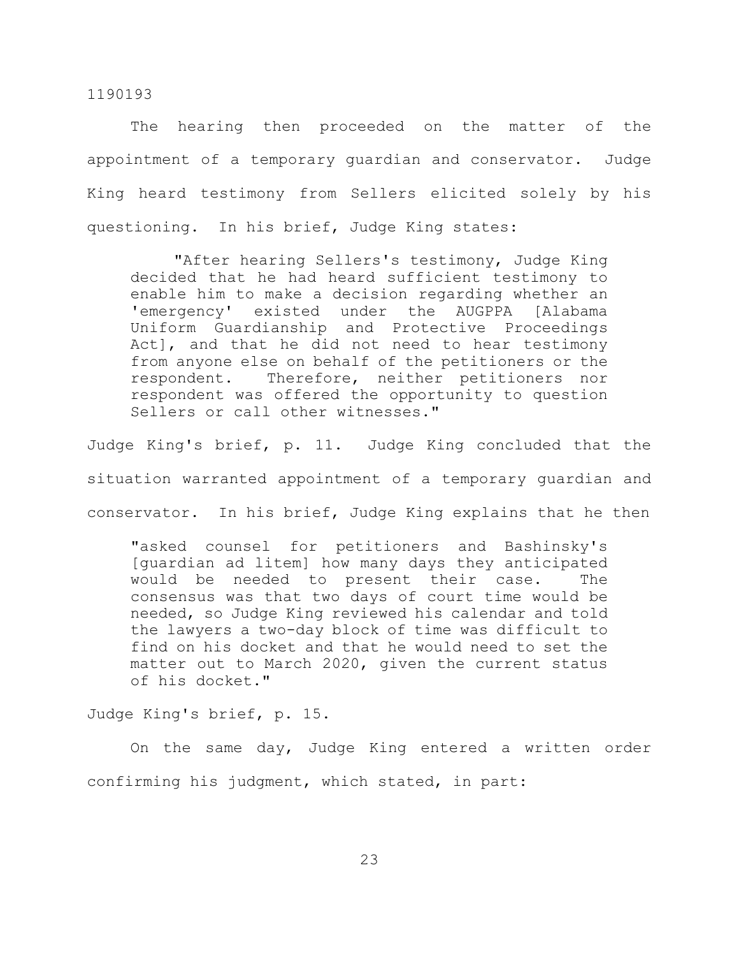The hearing then proceeded on the matter of the appointment of a temporary guardian and conservator. Judge King heard testimony from Sellers elicited solely by his questioning. In his brief, Judge King states:

"After hearing Sellers's testimony, Judge King decided that he had heard sufficient testimony to enable him to make a decision regarding whether an 'emergency' existed under the AUGPPA [Alabama Uniform Guardianship and Protective Proceedings Act], and that he did not need to hear testimony from anyone else on behalf of the petitioners or the respondent. Therefore, neither petitioners nor respondent was offered the opportunity to question Sellers or call other witnesses."

Judge King's brief, p. 11. Judge King concluded that the situation warranted appointment of a temporary guardian and conservator. In his brief, Judge King explains that he then

"asked counsel for petitioners and Bashinsky's [guardian ad litem] how many days they anticipated would be needed to present their case. The consensus was that two days of court time would be needed, so Judge King reviewed his calendar and told the lawyers a two-day block of time was difficult to find on his docket and that he would need to set the matter out to March 2020, given the current status of his docket."

Judge King's brief, p. 15.

On the same day, Judge King entered a written order confirming his judgment, which stated, in part: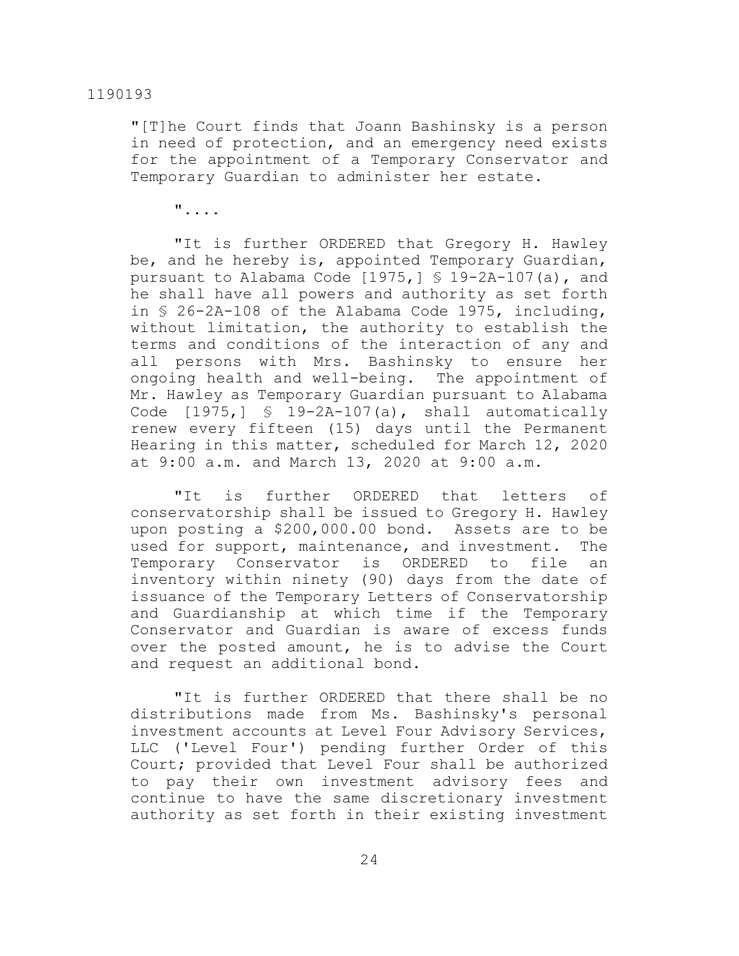"[T]he Court finds that Joann Bashinsky is a person in need of protection, and an emergency need exists for the appointment of a Temporary Conservator and Temporary Guardian to administer her estate.

"....

"It is further ORDERED that Gregory H. Hawley be, and he hereby is, appointed Temporary Guardian, pursuant to Alabama Code  $[1975, 1 \text{ S } 19-2A-107(a)$ , and he shall have all powers and authority as set forth in § 26-2A-108 of the Alabama Code 1975, including, without limitation, the authority to establish the terms and conditions of the interaction of any and all persons with Mrs. Bashinsky to ensure her ongoing health and well-being. The appointment of Mr. Hawley as Temporary Guardian pursuant to Alabama Code  $[1975, ] \$  9-2A-107(a), shall automatically renew every fifteen (15) days until the Permanent Hearing in this matter, scheduled for March 12, 2020 at 9:00 a.m. and March 13, 2020 at 9:00 a.m.

"It is further ORDERED that letters of conservatorship shall be issued to Gregory H. Hawley upon posting a \$200,000.00 bond. Assets are to be used for support, maintenance, and investment. The Temporary Conservator is ORDERED to file an inventory within ninety (90) days from the date of issuance of the Temporary Letters of Conservatorship and Guardianship at which time if the Temporary Conservator and Guardian is aware of excess funds over the posted amount, he is to advise the Court and request an additional bond.

"It is further ORDERED that there shall be no distributions made from Ms. Bashinsky's personal investment accounts at Level Four Advisory Services, LLC ('Level Four') pending further Order of this Court; provided that Level Four shall be authorized to pay their own investment advisory fees and continue to have the same discretionary investment authority as set forth in their existing investment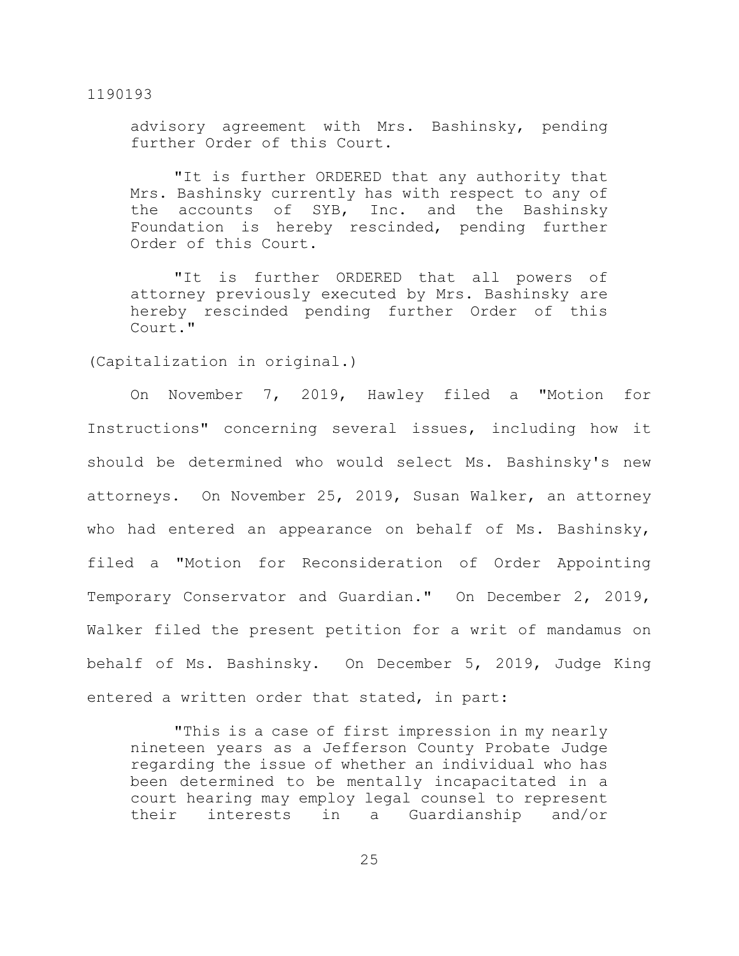advisory agreement with Mrs. Bashinsky, pending further Order of this Court.

"It is further ORDERED that any authority that Mrs. Bashinsky currently has with respect to any of the accounts of SYB, Inc. and the Bashinsky Foundation is hereby rescinded, pending further Order of this Court.

"It is further ORDERED that all powers of attorney previously executed by Mrs. Bashinsky are hereby rescinded pending further Order of this Court."

(Capitalization in original.)

On November 7, 2019, Hawley filed a "Motion for Instructions" concerning several issues, including how it should be determined who would select Ms. Bashinsky's new attorneys. On November 25, 2019, Susan Walker, an attorney who had entered an appearance on behalf of Ms. Bashinsky, filed a "Motion for Reconsideration of Order Appointing Temporary Conservator and Guardian." On December 2, 2019, Walker filed the present petition for a writ of mandamus on behalf of Ms. Bashinsky. On December 5, 2019, Judge King entered a written order that stated, in part:

"This is a case of first impression in my nearly nineteen years as a Jefferson County Probate Judge regarding the issue of whether an individual who has been determined to be mentally incapacitated in a court hearing may employ legal counsel to represent their interests in a Guardianship and/or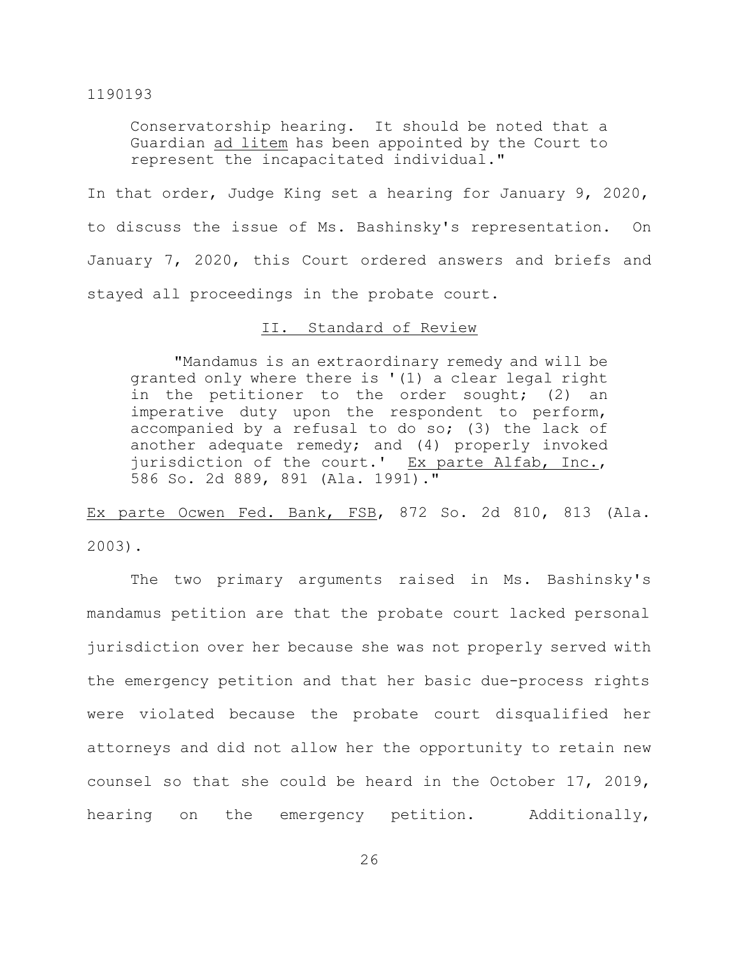Conservatorship hearing. It should be noted that a Guardian ad litem has been appointed by the Court to represent the incapacitated individual."

In that order, Judge King set a hearing for January 9, 2020, to discuss the issue of Ms. Bashinsky's representation. On January 7, 2020, this Court ordered answers and briefs and stayed all proceedings in the probate court.

## II. Standard of Review

"Mandamus is an extraordinary remedy and will be granted only where there is '(1) a clear legal right in the petitioner to the order sought; (2) an imperative duty upon the respondent to perform, accompanied by a refusal to do so; (3) the lack of another adequate remedy; and (4) properly invoked jurisdiction of the court.' Ex parte Alfab, Inc., 586 So. 2d 889, 891 (Ala. 1991)."

Ex parte Ocwen Fed. Bank, FSB, 872 So. 2d 810, 813 (Ala. 2003).

The two primary arguments raised in Ms. Bashinsky's mandamus petition are that the probate court lacked personal jurisdiction over her because she was not properly served with the emergency petition and that her basic due-process rights were violated because the probate court disqualified her attorneys and did not allow her the opportunity to retain new counsel so that she could be heard in the October 17, 2019, hearing on the emergency petition. Additionally,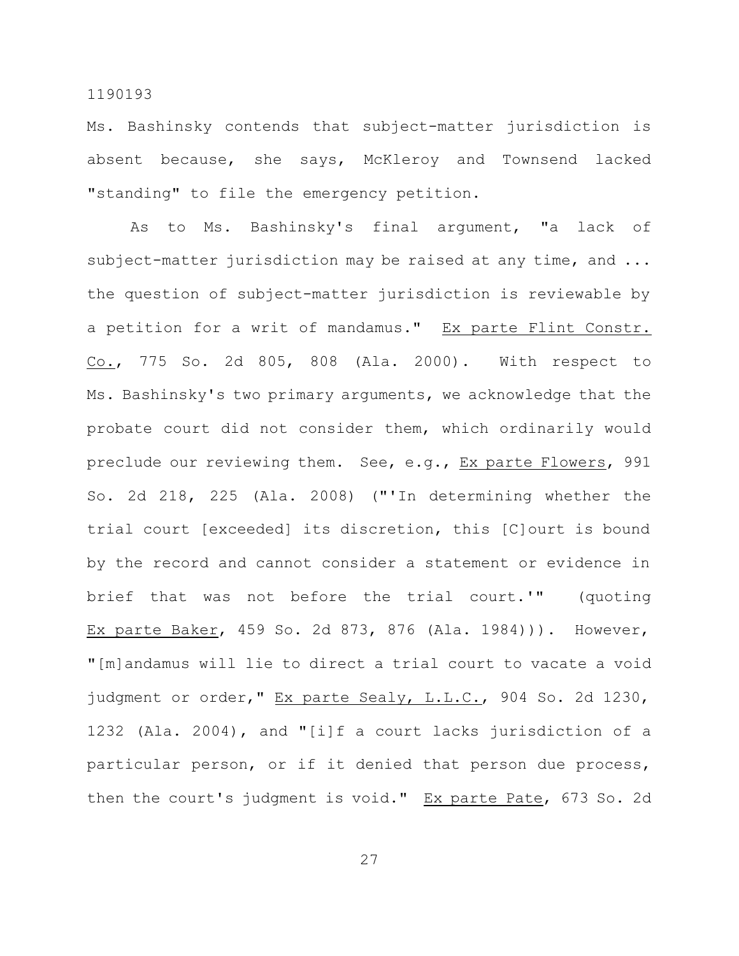Ms. Bashinsky contends that subject-matter jurisdiction is absent because, she says, McKleroy and Townsend lacked "standing" to file the emergency petition.

As to Ms. Bashinsky's final argument, "a lack of subject-matter jurisdiction may be raised at any time, and ... the question of subject-matter jurisdiction is reviewable by a petition for a writ of mandamus." Ex parte Flint Constr. Co., 775 So. 2d 805, 808 (Ala. 2000). With respect to Ms. Bashinsky's two primary arguments, we acknowledge that the probate court did not consider them, which ordinarily would preclude our reviewing them. See, e.g., Ex parte Flowers, 991 So. 2d 218, 225 (Ala. 2008) ("'In determining whether the trial court [exceeded] its discretion, this [C]ourt is bound by the record and cannot consider a statement or evidence in brief that was not before the trial court.'" (quoting Ex parte Baker, 459 So. 2d 873, 876 (Ala. 1984))). However, "[m]andamus will lie to direct a trial court to vacate a void judgment or order," Ex parte Sealy, L.L.C., 904 So. 2d 1230, 1232 (Ala. 2004), and "[i]f a court lacks jurisdiction of a particular person, or if it denied that person due process, then the court's judgment is void." Ex parte Pate, 673 So. 2d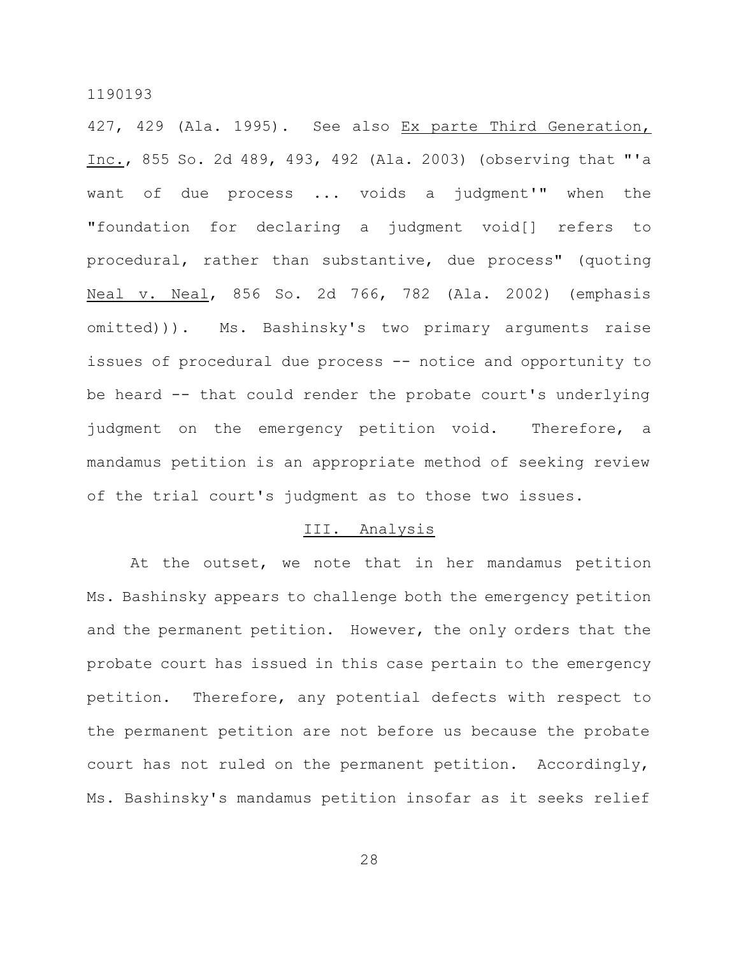427, 429 (Ala. 1995). See also Ex parte Third Generation, Inc., 855 So. 2d 489, 493, 492 (Ala. 2003) (observing that "'a want of due process ... voids a judgment'" when the "foundation for declaring a judgment void[] refers to procedural, rather than substantive, due process" (quoting Neal v. Neal, 856 So. 2d 766, 782 (Ala. 2002) (emphasis omitted))). Ms. Bashinsky's two primary arguments raise issues of procedural due process -- notice and opportunity to be heard -- that could render the probate court's underlying judgment on the emergency petition void. Therefore, a mandamus petition is an appropriate method of seeking review of the trial court's judgment as to those two issues.

#### III. Analysis

At the outset, we note that in her mandamus petition Ms. Bashinsky appears to challenge both the emergency petition and the permanent petition. However, the only orders that the probate court has issued in this case pertain to the emergency petition. Therefore, any potential defects with respect to the permanent petition are not before us because the probate court has not ruled on the permanent petition. Accordingly, Ms. Bashinsky's mandamus petition insofar as it seeks relief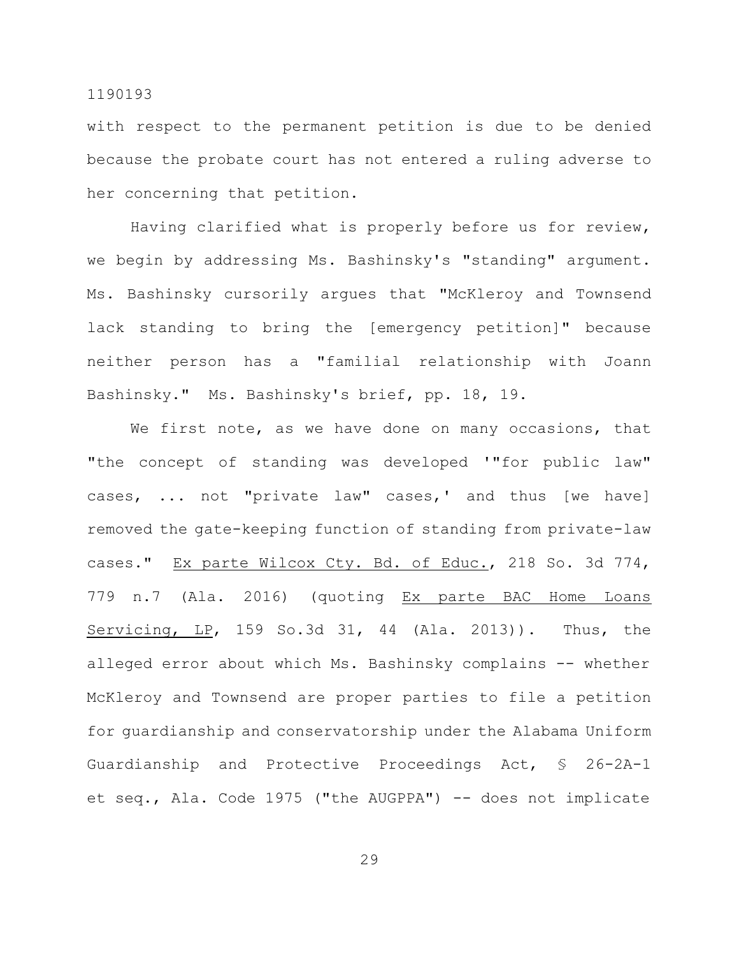with respect to the permanent petition is due to be denied because the probate court has not entered a ruling adverse to her concerning that petition.

Having clarified what is properly before us for review, we begin by addressing Ms. Bashinsky's "standing" argument. Ms. Bashinsky cursorily argues that "McKleroy and Townsend lack standing to bring the [emergency petition]" because neither person has a "familial relationship with Joann Bashinsky." Ms. Bashinsky's brief, pp. 18, 19.

We first note, as we have done on many occasions, that "the concept of standing was developed '"for public law" cases, ... not "private law" cases,' and thus [we have] removed the gate-keeping function of standing from private-law cases." Ex parte Wilcox Cty. Bd. of Educ., 218 So. 3d 774, 779 n.7 (Ala. 2016) (quoting Ex parte BAC Home Loans Servicing, LP, 159 So.3d 31, 44 (Ala. 2013)). Thus, the alleged error about which Ms. Bashinsky complains -- whether McKleroy and Townsend are proper parties to file a petition for guardianship and conservatorship under the Alabama Uniform Guardianship and Protective Proceedings Act, § 26-2A-1 et seq., Ala. Code 1975 ("the AUGPPA") -- does not implicate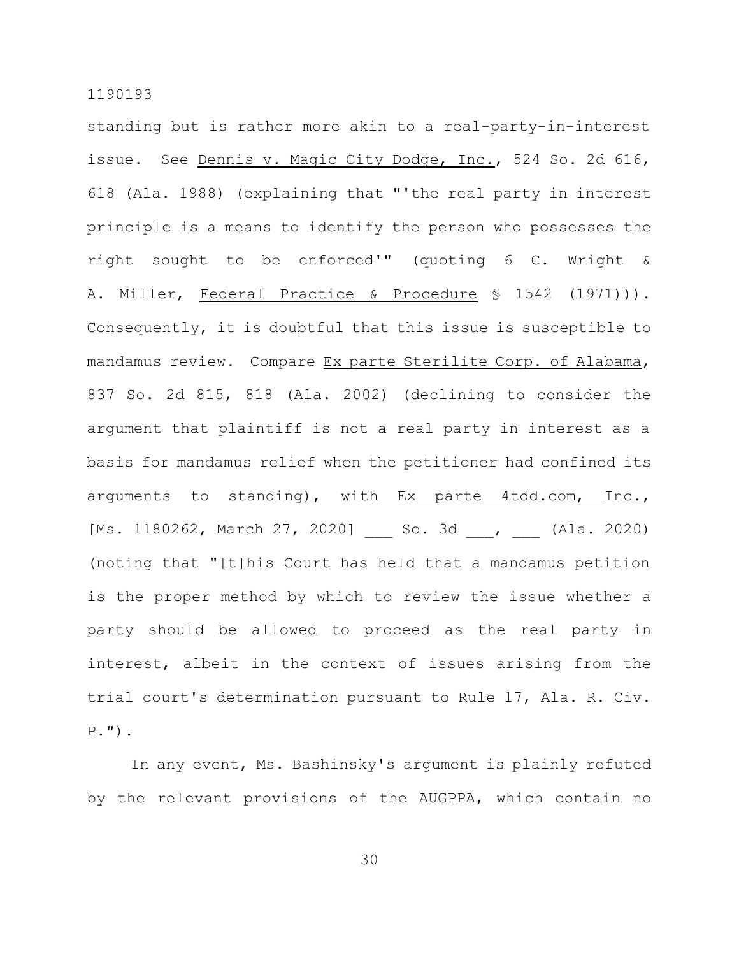standing but is rather more akin to a real-party-in-interest issue. See Dennis v. Magic City Dodge, Inc., 524 So. 2d 616, 618 (Ala. 1988) (explaining that "'the real party in interest principle is a means to identify the person who possesses the right sought to be enforced'" (quoting 6 C. Wright & A. Miller, Federal Practice & Procedure § 1542 (1971))). Consequently, it is doubtful that this issue is susceptible to mandamus review. Compare Ex parte Sterilite Corp. of Alabama, 837 So. 2d 815, 818 (Ala. 2002) (declining to consider the argument that plaintiff is not a real party in interest as a basis for mandamus relief when the petitioner had confined its arguments to standing), with Ex parte 4tdd.com, Inc., [Ms. 1180262, March 27, 2020] So. 3d , (Ala. 2020) (noting that "[t]his Court has held that a mandamus petition is the proper method by which to review the issue whether a party should be allowed to proceed as the real party in interest, albeit in the context of issues arising from the trial court's determination pursuant to Rule 17, Ala. R. Civ. P.").

In any event, Ms. Bashinsky's argument is plainly refuted by the relevant provisions of the AUGPPA, which contain no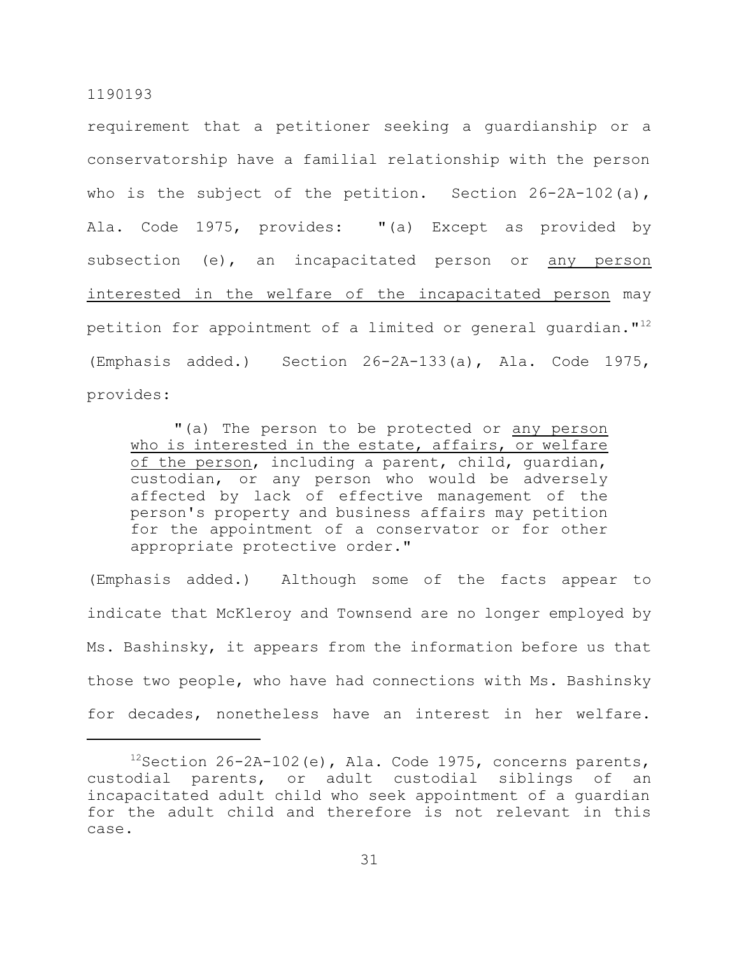requirement that a petitioner seeking a guardianship or a conservatorship have a familial relationship with the person who is the subject of the petition. Section 26-2A-102(a), Ala. Code 1975, provides: "(a) Except as provided by subsection (e), an incapacitated person or any person interested in the welfare of the incapacitated person may petition for appointment of a limited or general quardian."<sup>12</sup> (Emphasis added.) Section 26-2A-133(a), Ala. Code 1975, provides:

"(a) The person to be protected or any person who is interested in the estate, affairs, or welfare of the person, including a parent, child, guardian, custodian, or any person who would be adversely affected by lack of effective management of the person's property and business affairs may petition for the appointment of a conservator or for other appropriate protective order."

(Emphasis added.) Although some of the facts appear to indicate that McKleroy and Townsend are no longer employed by Ms. Bashinsky, it appears from the information before us that those two people, who have had connections with Ms. Bashinsky for decades, nonetheless have an interest in her welfare.

 $12$ Section 26-2A-102(e), Ala. Code 1975, concerns parents, custodial parents, or adult custodial siblings of an incapacitated adult child who seek appointment of a guardian for the adult child and therefore is not relevant in this case.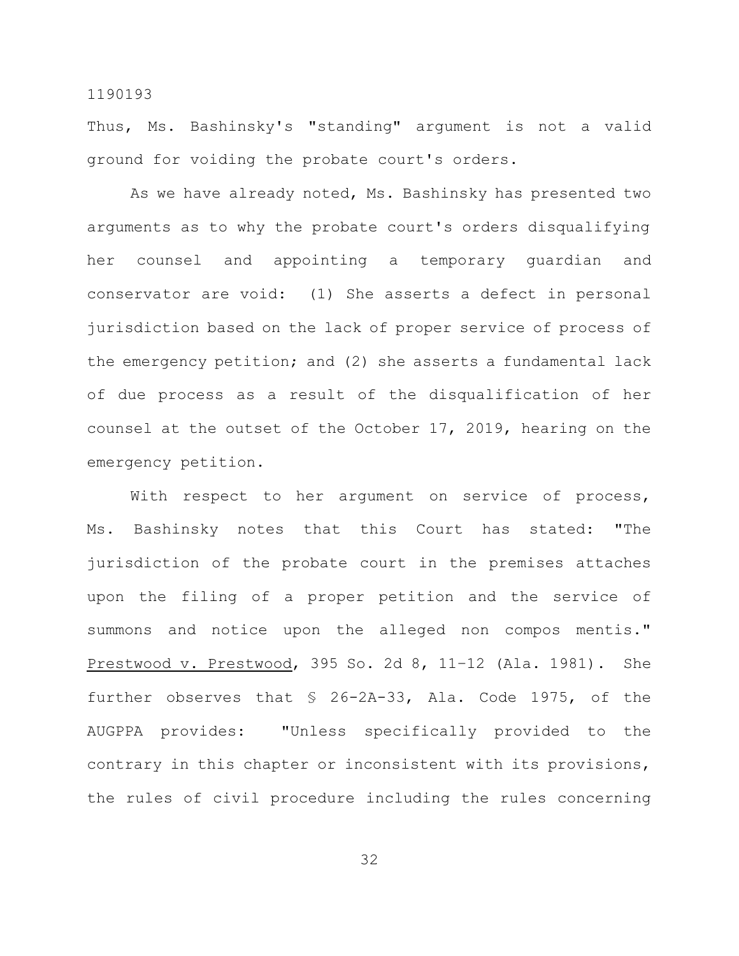Thus, Ms. Bashinsky's "standing" argument is not a valid ground for voiding the probate court's orders.

As we have already noted, Ms. Bashinsky has presented two arguments as to why the probate court's orders disqualifying her counsel and appointing a temporary guardian and conservator are void: (1) She asserts a defect in personal jurisdiction based on the lack of proper service of process of the emergency petition; and (2) she asserts a fundamental lack of due process as a result of the disqualification of her counsel at the outset of the October 17, 2019, hearing on the emergency petition.

With respect to her argument on service of process, Ms. Bashinsky notes that this Court has stated: "The jurisdiction of the probate court in the premises attaches upon the filing of a proper petition and the service of summons and notice upon the alleged non compos mentis." Prestwood v. Prestwood, 395 So. 2d 8, 11–12 (Ala. 1981). She further observes that § 26-2A-33, Ala. Code 1975, of the AUGPPA provides: "Unless specifically provided to the contrary in this chapter or inconsistent with its provisions, the rules of civil procedure including the rules concerning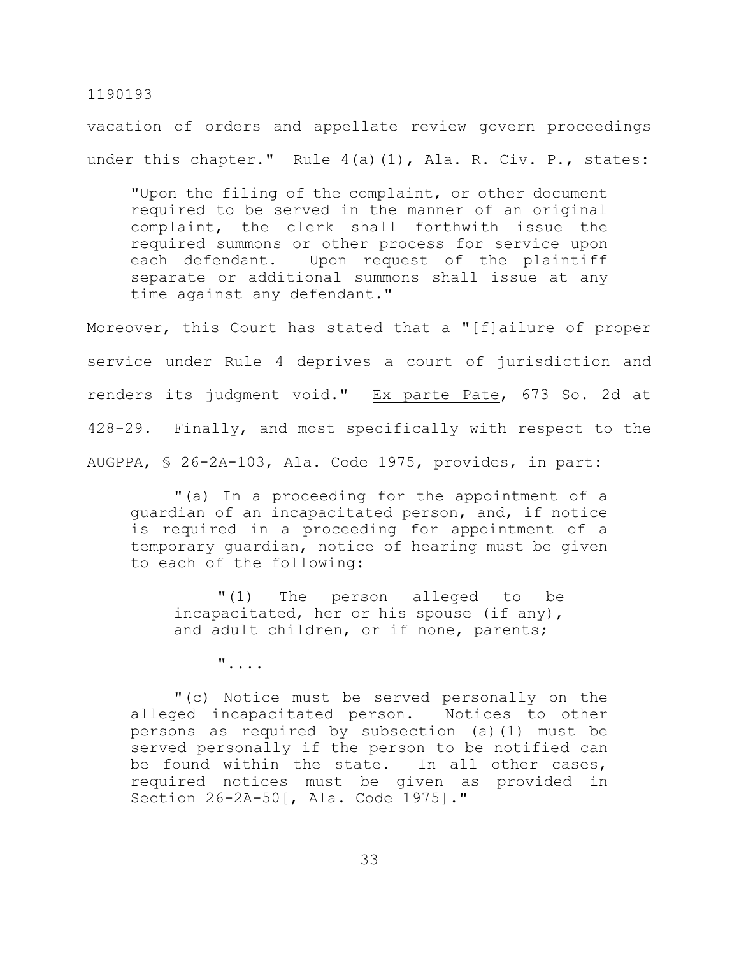vacation of orders and appellate review govern proceedings under this chapter." Rule 4(a)(1), Ala. R. Civ. P., states:

"Upon the filing of the complaint, or other document required to be served in the manner of an original complaint, the clerk shall forthwith issue the required summons or other process for service upon each defendant. Upon request of the plaintiff separate or additional summons shall issue at any time against any defendant."

Moreover, this Court has stated that a "[f]ailure of proper service under Rule 4 deprives a court of jurisdiction and renders its judgment void." Ex parte Pate, 673 So. 2d at 428-29. Finally, and most specifically with respect to the AUGPPA, § 26-2A-103, Ala. Code 1975, provides, in part:

"(a) In a proceeding for the appointment of a guardian of an incapacitated person, and, if notice is required in a proceeding for appointment of a temporary guardian, notice of hearing must be given to each of the following:

"(1) The person alleged to be incapacitated, her or his spouse (if any), and adult children, or if none, parents;

"....

"(c) Notice must be served personally on the alleged incapacitated person. Notices to other persons as required by subsection (a)(1) must be served personally if the person to be notified can be found within the state. In all other cases, required notices must be given as provided in Section 26-2A-50[, Ala. Code 1975]."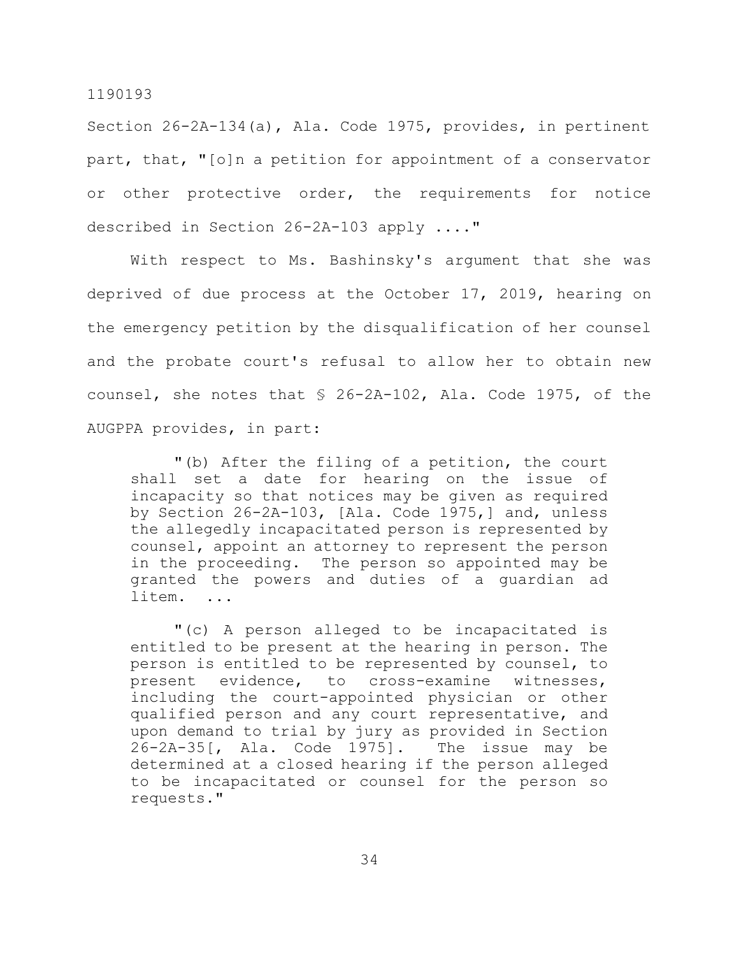Section 26-2A-134(a), Ala. Code 1975, provides, in pertinent part, that, "[o]n a petition for appointment of a conservator or other protective order, the requirements for notice described in Section 26-2A-103 apply ...."

With respect to Ms. Bashinsky's argument that she was deprived of due process at the October 17, 2019, hearing on the emergency petition by the disqualification of her counsel and the probate court's refusal to allow her to obtain new counsel, she notes that § 26-2A-102, Ala. Code 1975, of the AUGPPA provides, in part:

"(b) After the filing of a petition, the court shall set a date for hearing on the issue of incapacity so that notices may be given as required by Section 26-2A-103, [Ala. Code 1975,] and, unless the allegedly incapacitated person is represented by counsel, appoint an attorney to represent the person in the proceeding. The person so appointed may be granted the powers and duties of a guardian ad litem. ...

"(c) A person alleged to be incapacitated is entitled to be present at the hearing in person. The person is entitled to be represented by counsel, to present evidence, to cross-examine witnesses, including the court-appointed physician or other qualified person and any court representative, and upon demand to trial by jury as provided in Section 26-2A-35[, Ala. Code 1975]. The issue may be determined at a closed hearing if the person alleged to be incapacitated or counsel for the person so requests."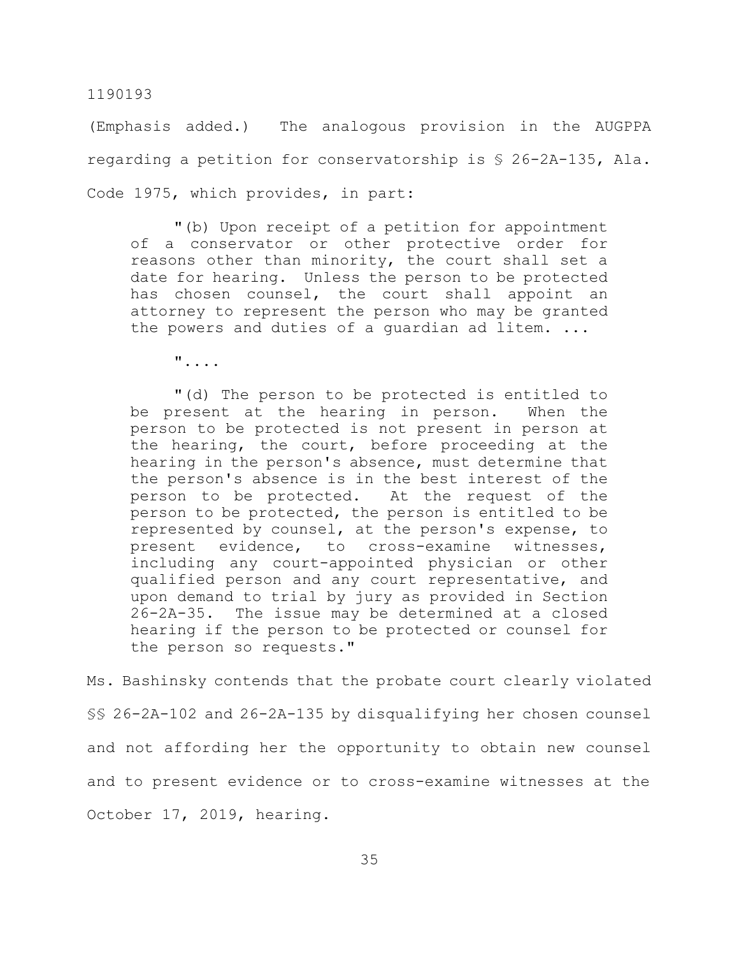(Emphasis added.) The analogous provision in the AUGPPA regarding a petition for conservatorship is § 26-2A-135, Ala. Code 1975, which provides, in part:

"(b) Upon receipt of a petition for appointment of a conservator or other protective order for reasons other than minority, the court shall set a date for hearing. Unless the person to be protected has chosen counsel, the court shall appoint an attorney to represent the person who may be granted the powers and duties of a guardian ad litem. ...

"....

"(d) The person to be protected is entitled to be present at the hearing in person. When the person to be protected is not present in person at the hearing, the court, before proceeding at the hearing in the person's absence, must determine that the person's absence is in the best interest of the person to be protected. At the request of the person to be protected, the person is entitled to be represented by counsel, at the person's expense, to present evidence, to cross-examine witnesses, including any court-appointed physician or other qualified person and any court representative, and upon demand to trial by jury as provided in Section 26-2A-35. The issue may be determined at a closed hearing if the person to be protected or counsel for the person so requests."

Ms. Bashinsky contends that the probate court clearly violated §§ 26-2A-102 and 26-2A-135 by disqualifying her chosen counsel and not affording her the opportunity to obtain new counsel and to present evidence or to cross-examine witnesses at the October 17, 2019, hearing.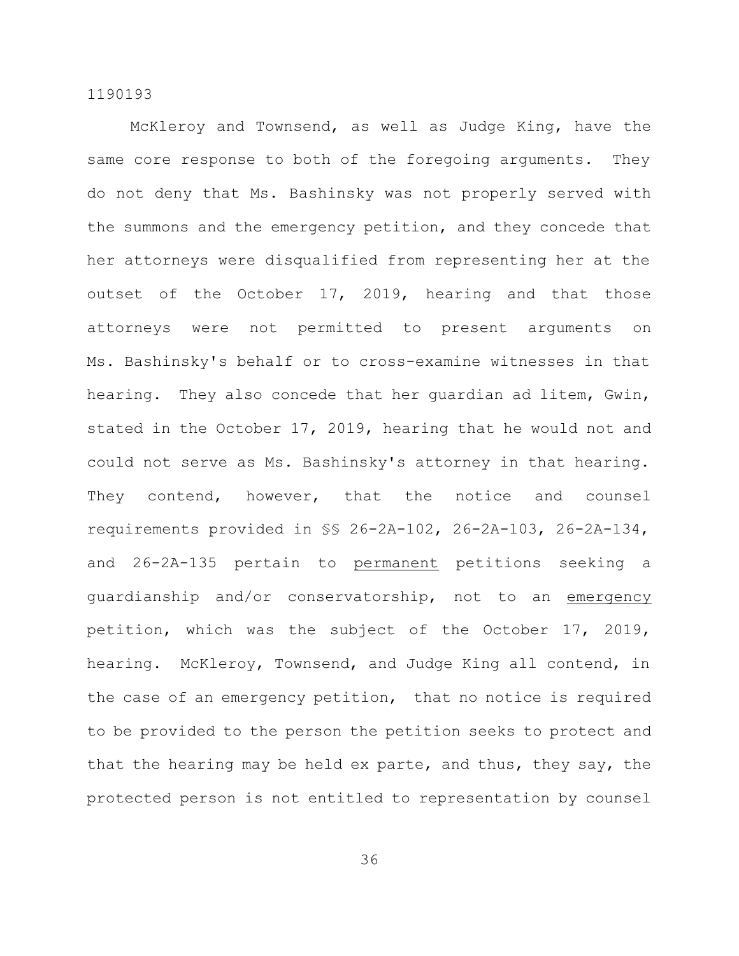McKleroy and Townsend, as well as Judge King, have the same core response to both of the foregoing arguments. They do not deny that Ms. Bashinsky was not properly served with the summons and the emergency petition, and they concede that her attorneys were disqualified from representing her at the outset of the October 17, 2019, hearing and that those attorneys were not permitted to present arguments on Ms. Bashinsky's behalf or to cross-examine witnesses in that hearing. They also concede that her guardian ad litem, Gwin, stated in the October 17, 2019, hearing that he would not and could not serve as Ms. Bashinsky's attorney in that hearing. They contend, however, that the notice and counsel requirements provided in §§ 26-2A-102, 26-2A-103, 26-2A-134, and 26-2A-135 pertain to permanent petitions seeking a guardianship and/or conservatorship, not to an emergency petition, which was the subject of the October 17, 2019, hearing. McKleroy, Townsend, and Judge King all contend, in the case of an emergency petition, that no notice is required to be provided to the person the petition seeks to protect and that the hearing may be held ex parte, and thus, they say, the protected person is not entitled to representation by counsel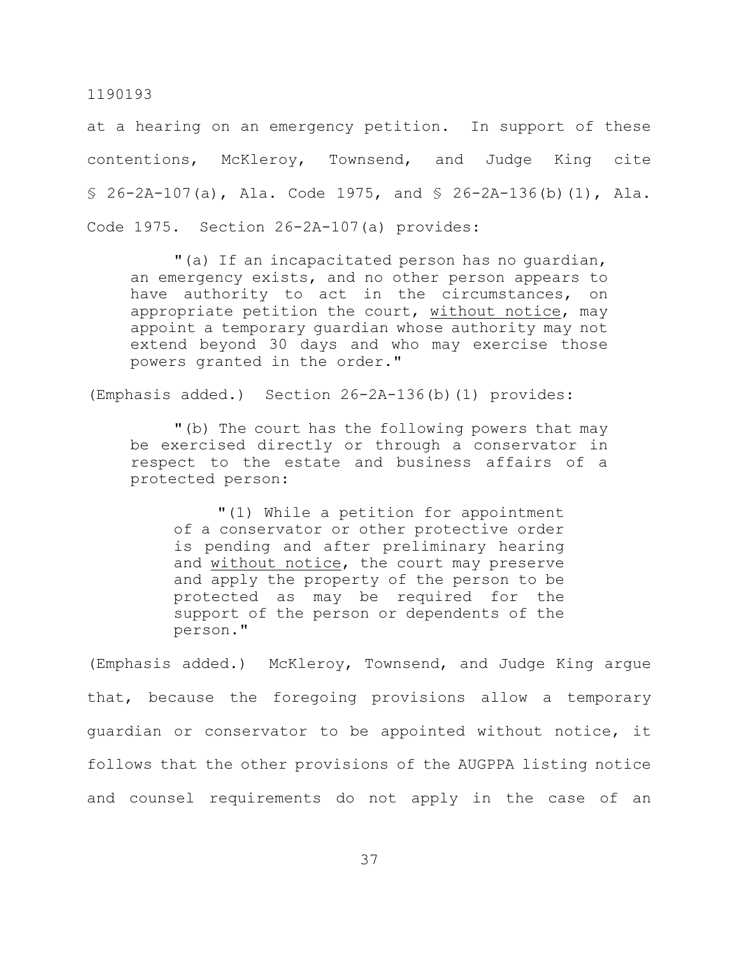at a hearing on an emergency petition. In support of these contentions, McKleroy, Townsend, and Judge King cite  $$ 26-2A-107(a)$ , Ala. Code 1975, and  $$ 26-2A-136(b) (1)$ , Ala. Code 1975. Section 26-2A-107(a) provides:

"(a) If an incapacitated person has no guardian, an emergency exists, and no other person appears to have authority to act in the circumstances, on appropriate petition the court, without notice, may appoint a temporary guardian whose authority may not extend beyond 30 days and who may exercise those powers granted in the order."

(Emphasis added.) Section 26-2A-136(b)(1) provides:

"(b) The court has the following powers that may be exercised directly or through a conservator in respect to the estate and business affairs of a protected person:

"(1) While a petition for appointment of a conservator or other protective order is pending and after preliminary hearing and without notice, the court may preserve and apply the property of the person to be protected as may be required for the support of the person or dependents of the person."

(Emphasis added.) McKleroy, Townsend, and Judge King argue that, because the foregoing provisions allow a temporary guardian or conservator to be appointed without notice, it follows that the other provisions of the AUGPPA listing notice and counsel requirements do not apply in the case of an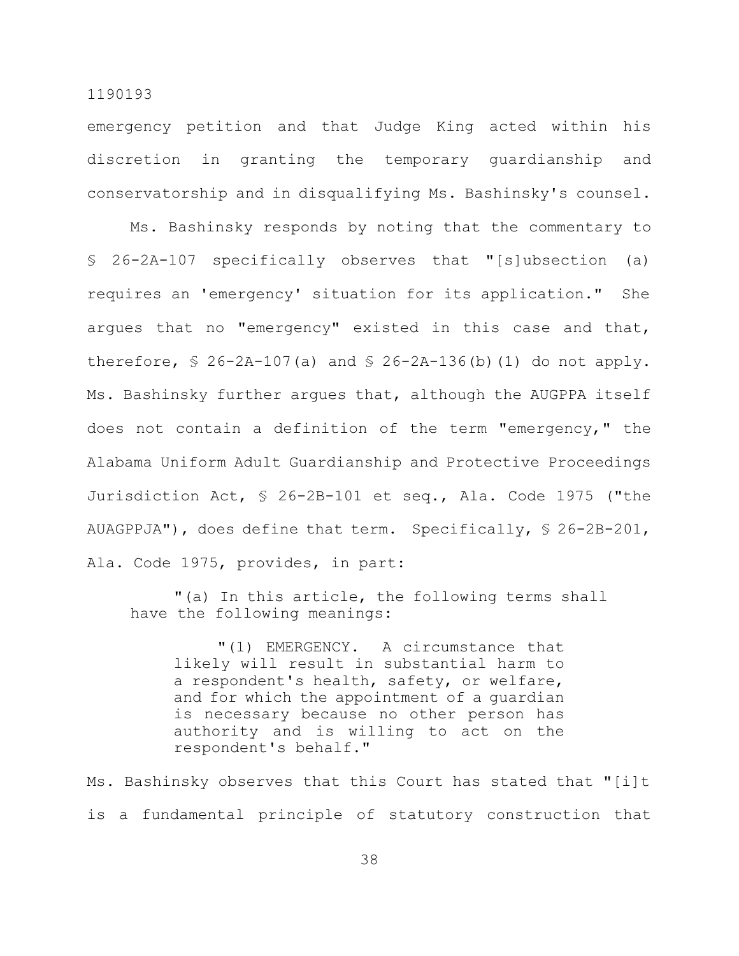emergency petition and that Judge King acted within his discretion in granting the temporary guardianship and conservatorship and in disqualifying Ms. Bashinsky's counsel.

Ms. Bashinsky responds by noting that the commentary to § 26-2A-107 specifically observes that "[s]ubsection (a) requires an 'emergency' situation for its application." She argues that no "emergency" existed in this case and that, therefore,  $\frac{1}{2}$  26-2A-107(a) and  $\frac{1}{2}$  26-2A-136(b)(1) do not apply. Ms. Bashinsky further argues that, although the AUGPPA itself does not contain a definition of the term "emergency," the Alabama Uniform Adult Guardianship and Protective Proceedings Jurisdiction Act, § 26-2B-101 et seq., Ala. Code 1975 ("the AUAGPPJA"), does define that term. Specifically, § 26-2B-201, Ala. Code 1975, provides, in part:

"(a) In this article, the following terms shall have the following meanings:

"(1) EMERGENCY. A circumstance that likely will result in substantial harm to a respondent's health, safety, or welfare, and for which the appointment of a guardian is necessary because no other person has authority and is willing to act on the respondent's behalf."

Ms. Bashinsky observes that this Court has stated that "[i]t is a fundamental principle of statutory construction that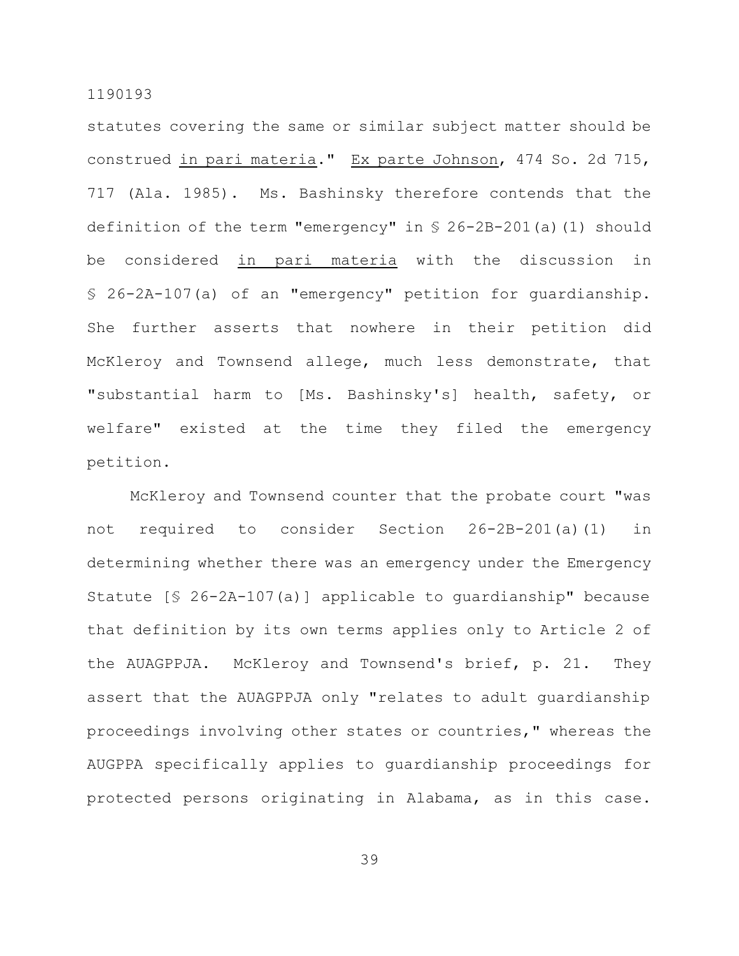statutes covering the same or similar subject matter should be construed in pari materia." Ex parte Johnson, 474 So. 2d 715, 717 (Ala. 1985). Ms. Bashinsky therefore contends that the definition of the term "emergency" in § 26-2B-201(a)(1) should be considered in pari materia with the discussion in § 26-2A-107(a) of an "emergency" petition for guardianship. She further asserts that nowhere in their petition did McKleroy and Townsend allege, much less demonstrate, that "substantial harm to [Ms. Bashinsky's] health, safety, or welfare" existed at the time they filed the emergency petition.

McKleroy and Townsend counter that the probate court "was not required to consider Section 26-2B-201(a)(1) in determining whether there was an emergency under the Emergency Statute [§ 26-2A-107(a)] applicable to guardianship" because that definition by its own terms applies only to Article 2 of the AUAGPPJA. McKleroy and Townsend's brief, p. 21. They assert that the AUAGPPJA only "relates to adult guardianship proceedings involving other states or countries," whereas the AUGPPA specifically applies to guardianship proceedings for protected persons originating in Alabama, as in this case.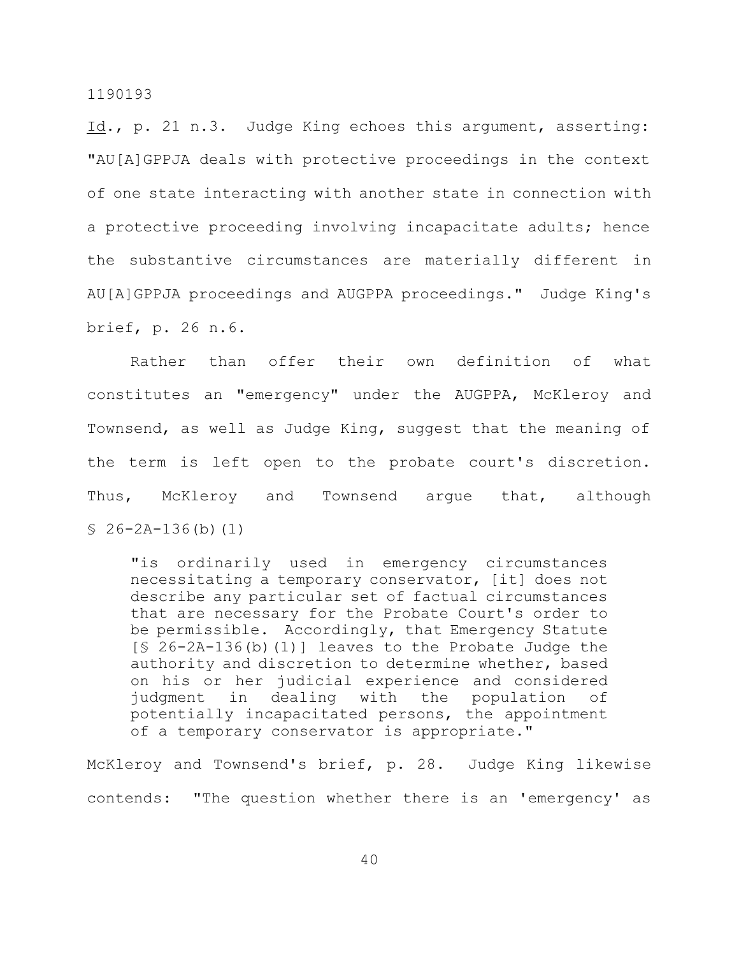Id., p. 21 n.3. Judge King echoes this argument, asserting: "AU[A]GPPJA deals with protective proceedings in the context of one state interacting with another state in connection with a protective proceeding involving incapacitate adults; hence the substantive circumstances are materially different in AU[A]GPPJA proceedings and AUGPPA proceedings." Judge King's brief, p. 26 n.6.

Rather than offer their own definition of what constitutes an "emergency" under the AUGPPA, McKleroy and Townsend, as well as Judge King, suggest that the meaning of the term is left open to the probate court's discretion. Thus, McKleroy and Townsend argue that, although  $$ 26-2A-136(b)(1)$ 

"is ordinarily used in emergency circumstances necessitating a temporary conservator, [it] does not describe any particular set of factual circumstances that are necessary for the Probate Court's order to be permissible. Accordingly, that Emergency Statute  $[$ 26-2A-136(b)(1)]$  leaves to the Probate Judge the authority and discretion to determine whether, based on his or her judicial experience and considered judgment in dealing with the population of potentially incapacitated persons, the appointment of a temporary conservator is appropriate."

McKleroy and Townsend's brief, p. 28. Judge King likewise contends: "The question whether there is an 'emergency' as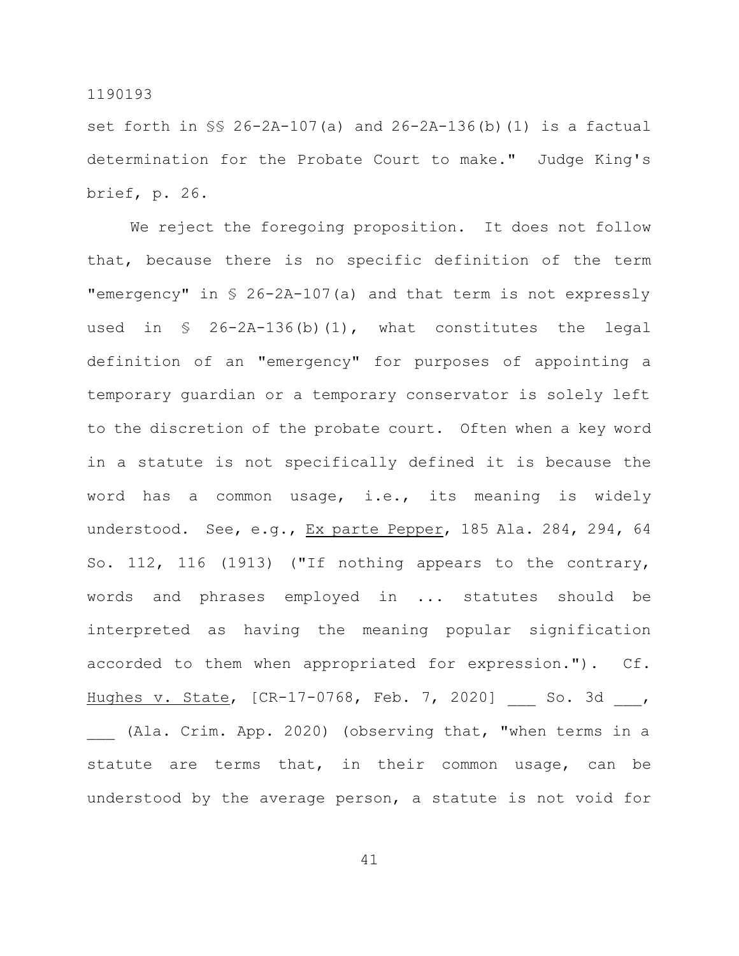set forth in §§ 26-2A-107(a) and 26-2A-136(b)(1) is a factual determination for the Probate Court to make." Judge King's brief, p. 26.

We reject the foregoing proposition. It does not follow that, because there is no specific definition of the term "emergency" in § 26-2A-107(a) and that term is not expressly used in  $\S$  26-2A-136(b)(1), what constitutes the legal definition of an "emergency" for purposes of appointing a temporary guardian or a temporary conservator is solely left to the discretion of the probate court. Often when a key word in a statute is not specifically defined it is because the word has a common usage, i.e., its meaning is widely understood. See, e.g., Ex parte Pepper, 185 Ala. 284, 294, 64 So. 112, 116 (1913) ("If nothing appears to the contrary, words and phrases employed in ... statutes should be interpreted as having the meaning popular signification accorded to them when appropriated for expression."). Cf. Hughes v. State, [CR-17-0768, Feb. 7, 2020] So. 3d , (Ala. Crim. App. 2020) (observing that, "when terms in a statute are terms that, in their common usage, can be understood by the average person, a statute is not void for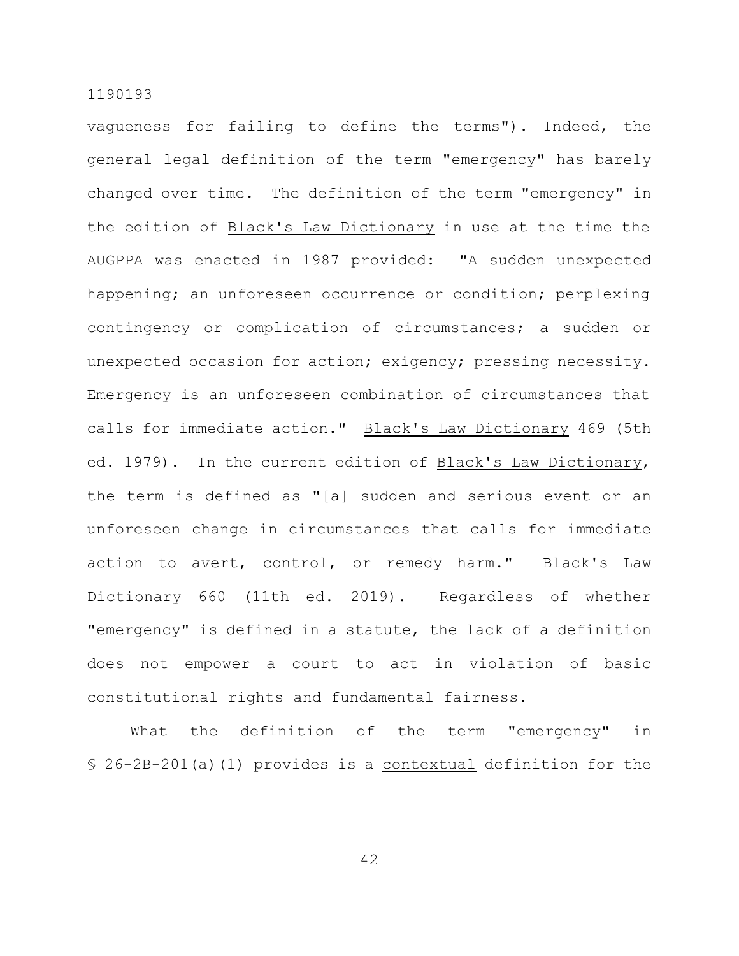vagueness for failing to define the terms"). Indeed, the general legal definition of the term "emergency" has barely changed over time. The definition of the term "emergency" in the edition of Black's Law Dictionary in use at the time the AUGPPA was enacted in 1987 provided: "A sudden unexpected happening; an unforeseen occurrence or condition; perplexing contingency or complication of circumstances; a sudden or unexpected occasion for action; exigency; pressing necessity. Emergency is an unforeseen combination of circumstances that calls for immediate action." Black's Law Dictionary 469 (5th ed. 1979). In the current edition of Black's Law Dictionary, the term is defined as "[a] sudden and serious event or an unforeseen change in circumstances that calls for immediate action to avert, control, or remedy harm." Black's Law Dictionary 660 (11th ed. 2019). Regardless of whether "emergency" is defined in a statute, the lack of a definition does not empower a court to act in violation of basic constitutional rights and fundamental fairness.

What the definition of the term "emergency" in § 26-2B-201(a)(1) provides is a contextual definition for the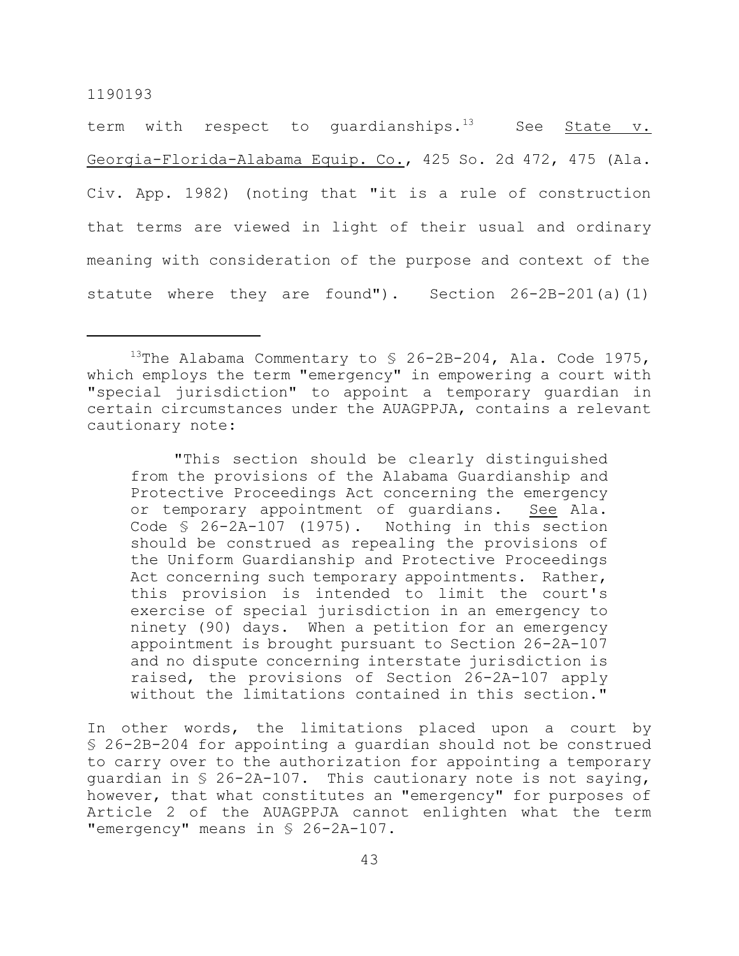term with respect to quardianships. $^{13}$  See State v. Georgia-Florida-Alabama Equip. Co., 425 So. 2d 472, 475 (Ala. Civ. App. 1982) (noting that "it is a rule of construction that terms are viewed in light of their usual and ordinary meaning with consideration of the purpose and context of the statute where they are found"). Section 26-2B-201(a)(1)

"This section should be clearly distinguished from the provisions of the Alabama Guardianship and Protective Proceedings Act concerning the emergency or temporary appointment of guardians. See Ala. Code § 26-2A-107 (1975). Nothing in this section should be construed as repealing the provisions of the Uniform Guardianship and Protective Proceedings Act concerning such temporary appointments. Rather, this provision is intended to limit the court's exercise of special jurisdiction in an emergency to ninety (90) days. When a petition for an emergency appointment is brought pursuant to Section 26-2A-107 and no dispute concerning interstate jurisdiction is raised, the provisions of Section 26-2A-107 apply without the limitations contained in this section."

In other words, the limitations placed upon a court by § 26-2B-204 for appointing a guardian should not be construed to carry over to the authorization for appointing a temporary guardian in § 26-2A-107. This cautionary note is not saying, however, that what constitutes an "emergency" for purposes of Article 2 of the AUAGPPJA cannot enlighten what the term "emergency" means in § 26-2A-107.

<sup>&</sup>lt;sup>13</sup>The Alabama Commentary to  $\frac{13}{26}$ -2B-204, Ala. Code 1975, which employs the term "emergency" in empowering a court with "special jurisdiction" to appoint a temporary guardian in certain circumstances under the AUAGPPJA, contains a relevant cautionary note: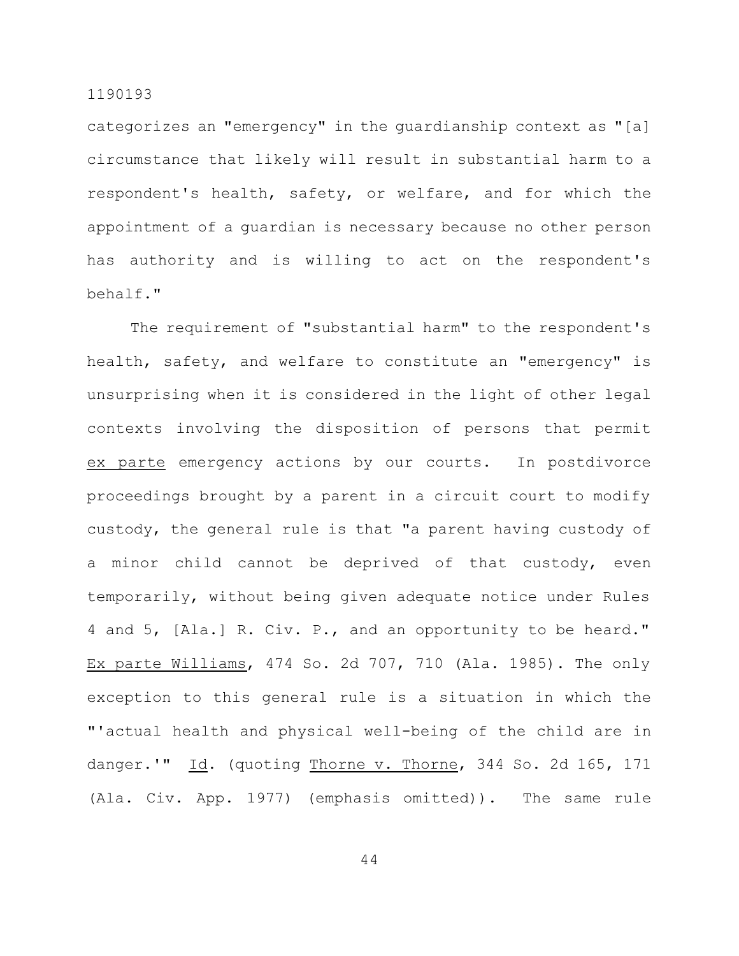categorizes an "emergency" in the guardianship context as "[a] circumstance that likely will result in substantial harm to a respondent's health, safety, or welfare, and for which the appointment of a guardian is necessary because no other person has authority and is willing to act on the respondent's behalf."

The requirement of "substantial harm" to the respondent's health, safety, and welfare to constitute an "emergency" is unsurprising when it is considered in the light of other legal contexts involving the disposition of persons that permit ex parte emergency actions by our courts. In postdivorce proceedings brought by a parent in a circuit court to modify custody, the general rule is that "a parent having custody of a minor child cannot be deprived of that custody, even temporarily, without being given adequate notice under Rules 4 and 5, [Ala.] R. Civ. P., and an opportunity to be heard." Ex parte Williams, 474 So. 2d 707, 710 (Ala. 1985). The only exception to this general rule is a situation in which the "'actual health and physical well-being of the child are in danger.'" Id. (quoting Thorne v. Thorne, 344 So. 2d 165, 171 (Ala. Civ. App. 1977) (emphasis omitted)). The same rule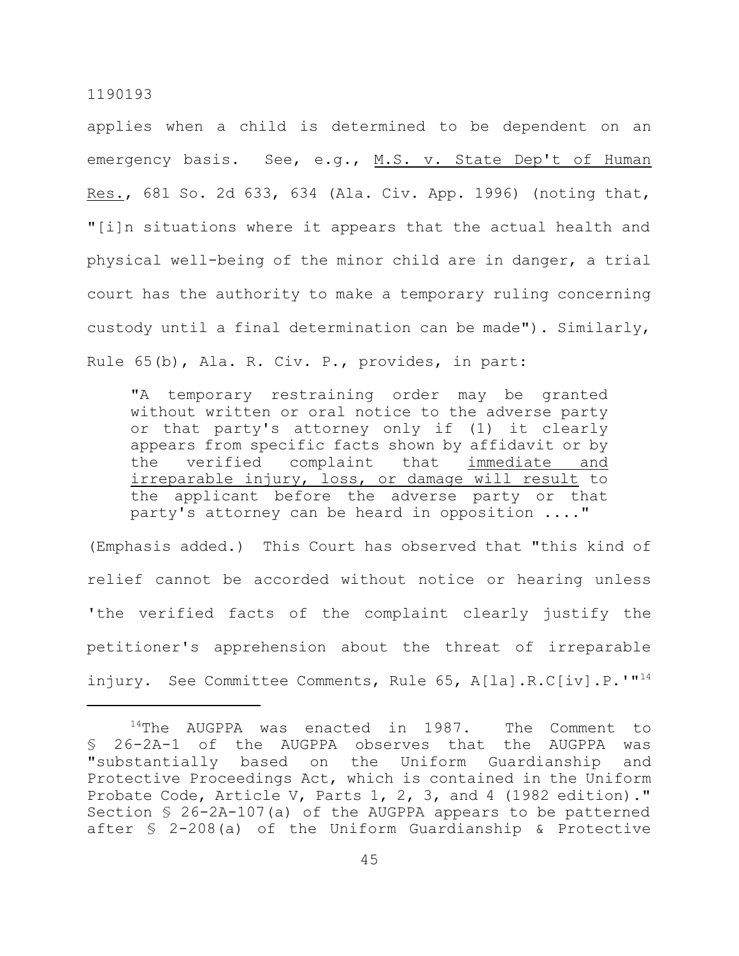applies when a child is determined to be dependent on an emergency basis. See, e.g., M.S. v. State Dep't of Human Res., 681 So. 2d 633, 634 (Ala. Civ. App. 1996) (noting that, "[i]n situations where it appears that the actual health and physical well-being of the minor child are in danger, a trial court has the authority to make a temporary ruling concerning custody until a final determination can be made"). Similarly, Rule 65(b), Ala. R. Civ. P., provides, in part:

"A temporary restraining order may be granted without written or oral notice to the adverse party or that party's attorney only if (1) it clearly appears from specific facts shown by affidavit or by the verified complaint that immediate and irreparable injury, loss, or damage will result to the applicant before the adverse party or that party's attorney can be heard in opposition ...."

(Emphasis added.) This Court has observed that "this kind of relief cannot be accorded without notice or hearing unless 'the verified facts of the complaint clearly justify the petitioner's apprehension about the threat of irreparable injury. See Committee Comments, Rule 65, A[la].R.C[iv].P.'"<sup>14</sup>

 $14$ The AUGPPA was enacted in 1987. The Comment to § 26-2A-1 of the AUGPPA observes that the AUGPPA was "substantially based on the Uniform Guardianship and Protective Proceedings Act, which is contained in the Uniform Probate Code, Article V, Parts 1, 2, 3, and 4 (1982 edition)." Section § 26-2A-107(a) of the AUGPPA appears to be patterned after § 2-208(a) of the Uniform Guardianship & Protective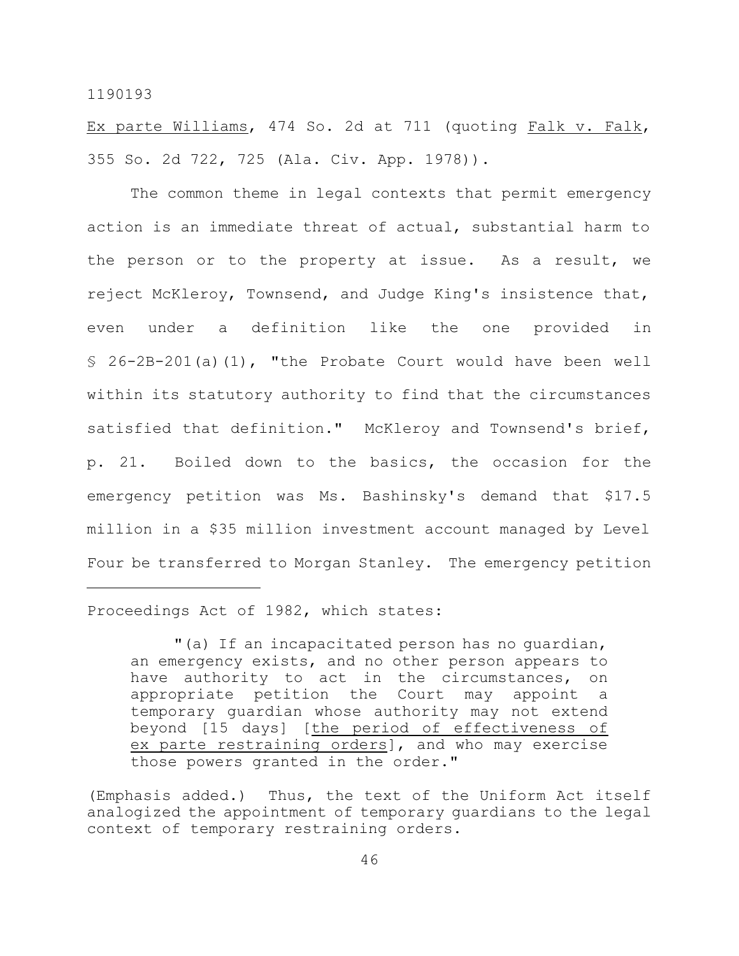Ex parte Williams, 474 So. 2d at 711 (quoting Falk v. Falk, 355 So. 2d 722, 725 (Ala. Civ. App. 1978)).

The common theme in legal contexts that permit emergency action is an immediate threat of actual, substantial harm to the person or to the property at issue. As a result, we reject McKleroy, Townsend, and Judge King's insistence that, even under a definition like the one provided in § 26-2B-201(a)(1), "the Probate Court would have been well within its statutory authority to find that the circumstances satisfied that definition." McKleroy and Townsend's brief, p. 21. Boiled down to the basics, the occasion for the emergency petition was Ms. Bashinsky's demand that \$17.5 million in a \$35 million investment account managed by Level Four be transferred to Morgan Stanley. The emergency petition

Proceedings Act of 1982, which states:

<sup>&</sup>quot;(a) If an incapacitated person has no guardian, an emergency exists, and no other person appears to have authority to act in the circumstances, on appropriate petition the Court may appoint a temporary guardian whose authority may not extend beyond [15 days] [the period of effectiveness of ex parte restraining orders], and who may exercise those powers granted in the order."

<sup>(</sup>Emphasis added.) Thus, the text of the Uniform Act itself analogized the appointment of temporary guardians to the legal context of temporary restraining orders.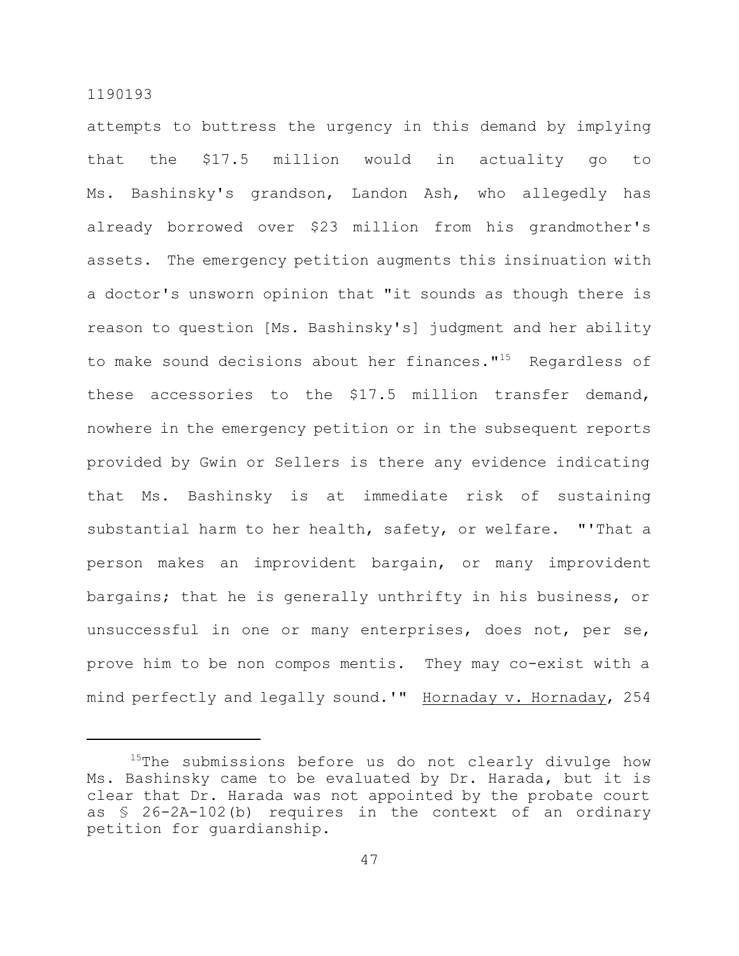attempts to buttress the urgency in this demand by implying that the \$17.5 million would in actuality go to Ms. Bashinsky's grandson, Landon Ash, who allegedly has already borrowed over \$23 million from his grandmother's assets. The emergency petition augments this insinuation with a doctor's unsworn opinion that "it sounds as though there is reason to question [Ms. Bashinsky's] judgment and her ability to make sound decisions about her finances."<sup>15</sup> Regardless of these accessories to the \$17.5 million transfer demand, nowhere in the emergency petition or in the subsequent reports provided by Gwin or Sellers is there any evidence indicating that Ms. Bashinsky is at immediate risk of sustaining substantial harm to her health, safety, or welfare. "'That a person makes an improvident bargain, or many improvident bargains; that he is generally unthrifty in his business, or unsuccessful in one or many enterprises, does not, per se, prove him to be non compos mentis. They may co-exist with a mind perfectly and legally sound.'" Hornaday v. Hornaday, 254

<sup>&</sup>lt;sup>15</sup>The submissions before us do not clearly divulge how Ms. Bashinsky came to be evaluated by Dr. Harada, but it is clear that Dr. Harada was not appointed by the probate court as § 26-2A-102(b) requires in the context of an ordinary petition for guardianship.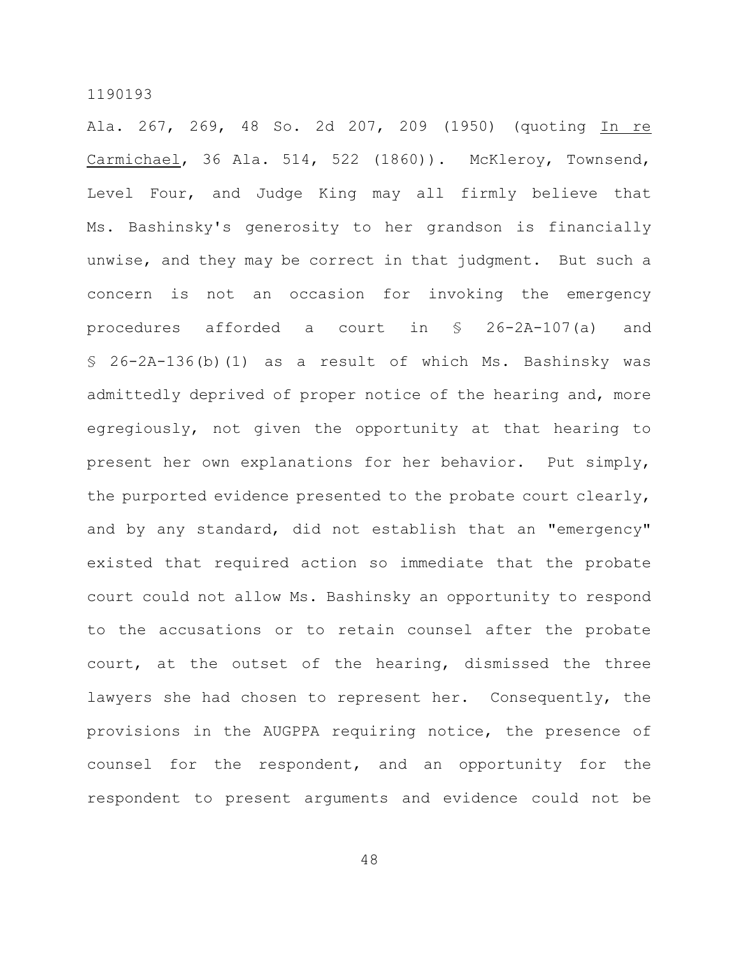Ala. 267, 269, 48 So. 2d 207, 209 (1950) (quoting In re Carmichael, 36 Ala. 514, 522 (1860)). McKleroy, Townsend, Level Four, and Judge King may all firmly believe that Ms. Bashinsky's generosity to her grandson is financially unwise, and they may be correct in that judgment. But such a concern is not an occasion for invoking the emergency procedures afforded a court in § 26-2A-107(a) and § 26-2A-136(b)(1) as a result of which Ms. Bashinsky was admittedly deprived of proper notice of the hearing and, more egregiously, not given the opportunity at that hearing to present her own explanations for her behavior. Put simply, the purported evidence presented to the probate court clearly, and by any standard, did not establish that an "emergency" existed that required action so immediate that the probate court could not allow Ms. Bashinsky an opportunity to respond to the accusations or to retain counsel after the probate court, at the outset of the hearing, dismissed the three lawyers she had chosen to represent her. Consequently, the provisions in the AUGPPA requiring notice, the presence of counsel for the respondent, and an opportunity for the respondent to present arguments and evidence could not be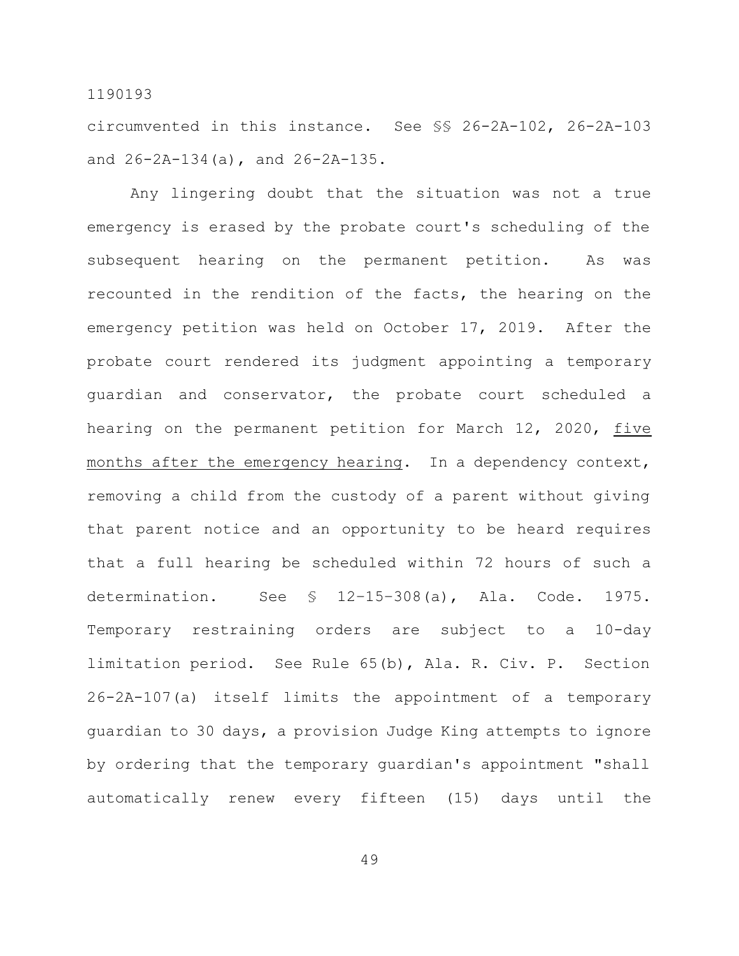circumvented in this instance. See §§ 26-2A-102, 26-2A-103 and 26-2A-134(a), and 26-2A-135.

Any lingering doubt that the situation was not a true emergency is erased by the probate court's scheduling of the subsequent hearing on the permanent petition. As was recounted in the rendition of the facts, the hearing on the emergency petition was held on October 17, 2019. After the probate court rendered its judgment appointing a temporary guardian and conservator, the probate court scheduled a hearing on the permanent petition for March 12, 2020, five months after the emergency hearing. In a dependency context, removing a child from the custody of a parent without giving that parent notice and an opportunity to be heard requires that a full hearing be scheduled within 72 hours of such a determination. See § 12–15–308(a), Ala. Code. 1975. Temporary restraining orders are subject to a 10-day limitation period. See Rule 65(b), Ala. R. Civ. P. Section 26-2A-107(a) itself limits the appointment of a temporary guardian to 30 days, a provision Judge King attempts to ignore by ordering that the temporary guardian's appointment "shall automatically renew every fifteen (15) days until the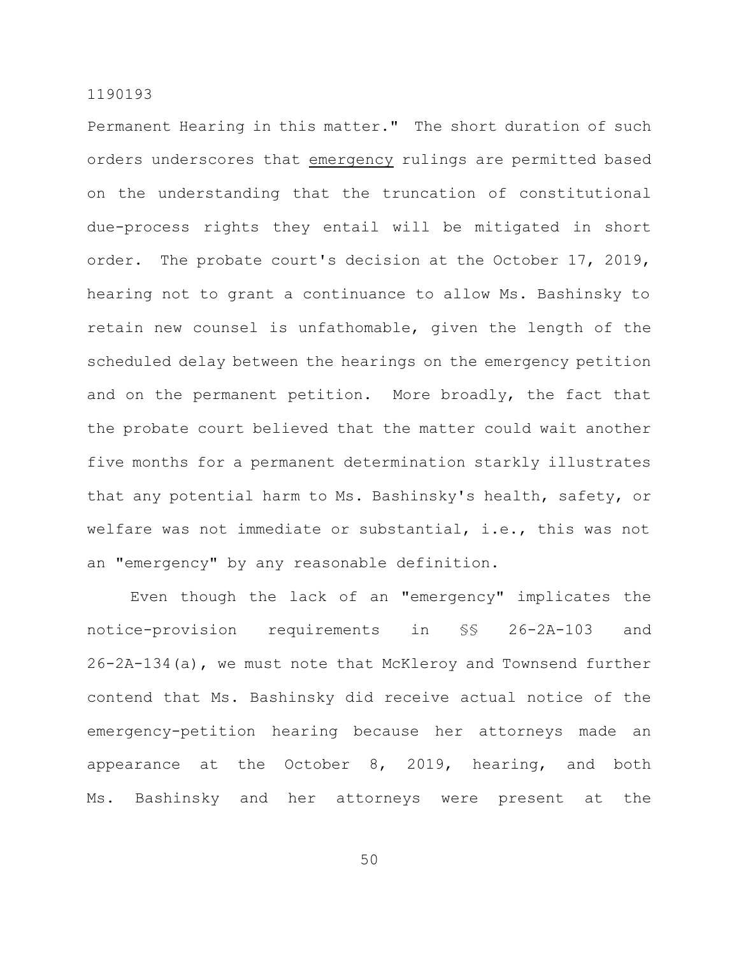Permanent Hearing in this matter." The short duration of such orders underscores that emergency rulings are permitted based on the understanding that the truncation of constitutional due-process rights they entail will be mitigated in short order. The probate court's decision at the October 17, 2019, hearing not to grant a continuance to allow Ms. Bashinsky to retain new counsel is unfathomable, given the length of the scheduled delay between the hearings on the emergency petition and on the permanent petition. More broadly, the fact that the probate court believed that the matter could wait another five months for a permanent determination starkly illustrates that any potential harm to Ms. Bashinsky's health, safety, or welfare was not immediate or substantial, i.e., this was not an "emergency" by any reasonable definition.

Even though the lack of an "emergency" implicates the notice-provision requirements in §§ 26-2A-103 and 26-2A-134(a), we must note that McKleroy and Townsend further contend that Ms. Bashinsky did receive actual notice of the emergency-petition hearing because her attorneys made an appearance at the October 8, 2019, hearing, and both Ms. Bashinsky and her attorneys were present at the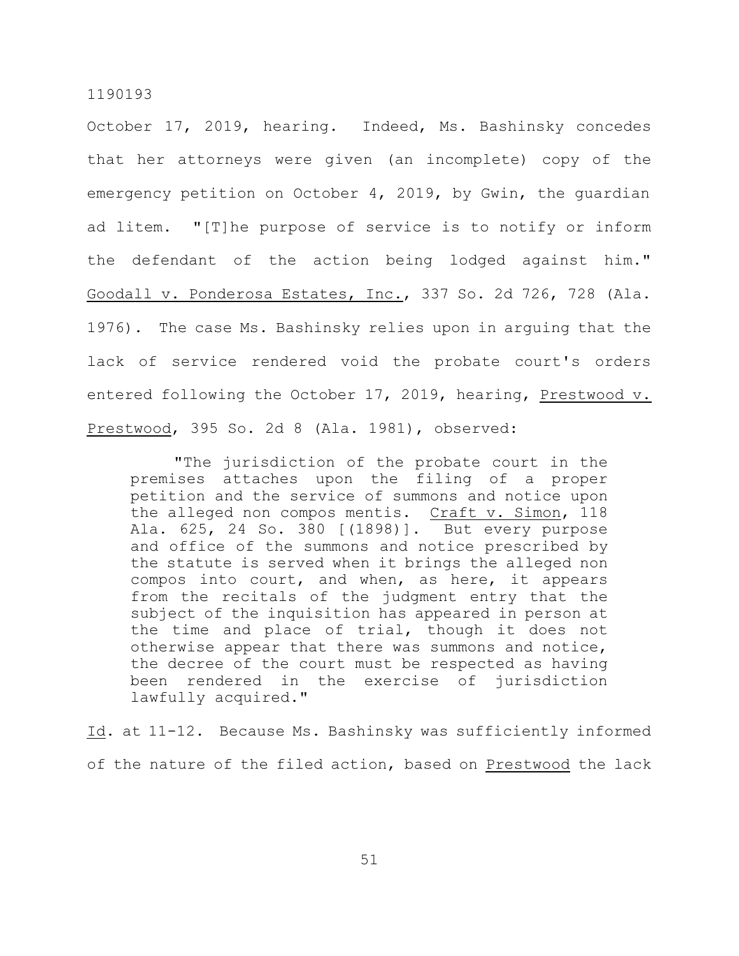October 17, 2019, hearing. Indeed, Ms. Bashinsky concedes that her attorneys were given (an incomplete) copy of the emergency petition on October 4, 2019, by Gwin, the guardian ad litem. "[T]he purpose of service is to notify or inform the defendant of the action being lodged against him." Goodall v. Ponderosa Estates, Inc., 337 So. 2d 726, 728 (Ala. 1976). The case Ms. Bashinsky relies upon in arguing that the lack of service rendered void the probate court's orders entered following the October 17, 2019, hearing, Prestwood v. Prestwood, 395 So. 2d 8 (Ala. 1981), observed:

"The jurisdiction of the probate court in the premises attaches upon the filing of a proper petition and the service of summons and notice upon the alleged non compos mentis. Craft v. Simon, 118 Ala. 625, 24 So. 380 [(1898)]. But every purpose and office of the summons and notice prescribed by the statute is served when it brings the alleged non compos into court, and when, as here, it appears from the recitals of the judgment entry that the subject of the inquisition has appeared in person at the time and place of trial, though it does not otherwise appear that there was summons and notice, the decree of the court must be respected as having been rendered in the exercise of jurisdiction lawfully acquired."

Id. at 11-12. Because Ms. Bashinsky was sufficiently informed of the nature of the filed action, based on Prestwood the lack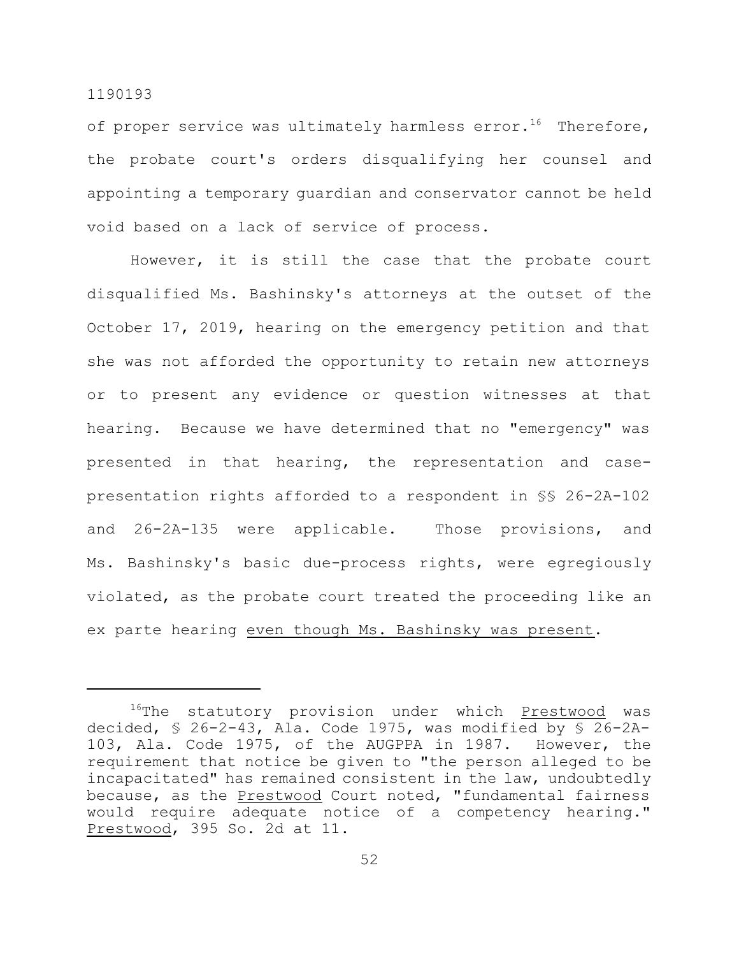of proper service was ultimately harmless error.<sup>16</sup> Therefore, the probate court's orders disqualifying her counsel and appointing a temporary guardian and conservator cannot be held void based on a lack of service of process.

However, it is still the case that the probate court disqualified Ms. Bashinsky's attorneys at the outset of the October 17, 2019, hearing on the emergency petition and that she was not afforded the opportunity to retain new attorneys or to present any evidence or question witnesses at that hearing. Because we have determined that no "emergency" was presented in that hearing, the representation and casepresentation rights afforded to a respondent in §§ 26-2A-102 and 26-2A-135 were applicable. Those provisions, and Ms. Bashinsky's basic due-process rights, were egregiously violated, as the probate court treated the proceeding like an ex parte hearing even though Ms. Bashinsky was present.

<sup>&</sup>lt;sup>16</sup>The statutory provision under which Prestwood was decided, § 26-2-43, Ala. Code 1975, was modified by § 26-2A-103, Ala. Code 1975, of the AUGPPA in 1987. However, the requirement that notice be given to "the person alleged to be incapacitated" has remained consistent in the law, undoubtedly because, as the **Prestwood** Court noted, "fundamental fairness would require adequate notice of a competency hearing." Prestwood, 395 So. 2d at 11.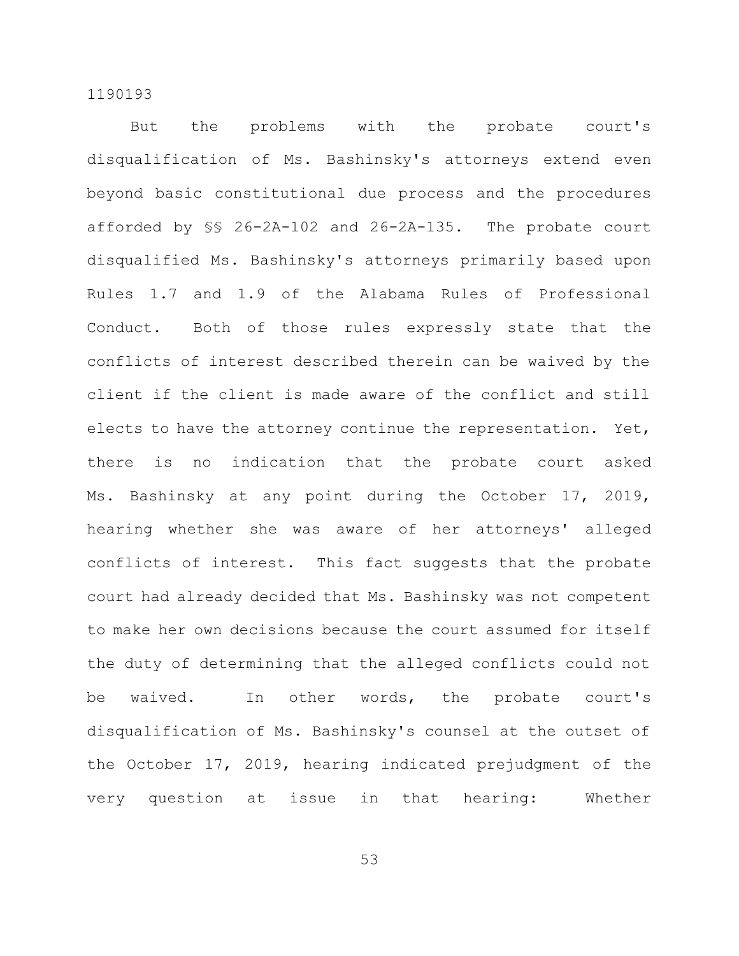But the problems with the probate court's disqualification of Ms. Bashinsky's attorneys extend even beyond basic constitutional due process and the procedures afforded by §§ 26-2A-102 and 26-2A-135. The probate court disqualified Ms. Bashinsky's attorneys primarily based upon Rules 1.7 and 1.9 of the Alabama Rules of Professional Conduct. Both of those rules expressly state that the conflicts of interest described therein can be waived by the client if the client is made aware of the conflict and still elects to have the attorney continue the representation. Yet, there is no indication that the probate court asked Ms. Bashinsky at any point during the October 17, 2019, hearing whether she was aware of her attorneys' alleged conflicts of interest. This fact suggests that the probate court had already decided that Ms. Bashinsky was not competent to make her own decisions because the court assumed for itself the duty of determining that the alleged conflicts could not be waived. In other words, the probate court's disqualification of Ms. Bashinsky's counsel at the outset of the October 17, 2019, hearing indicated prejudgment of the very question at issue in that hearing: Whether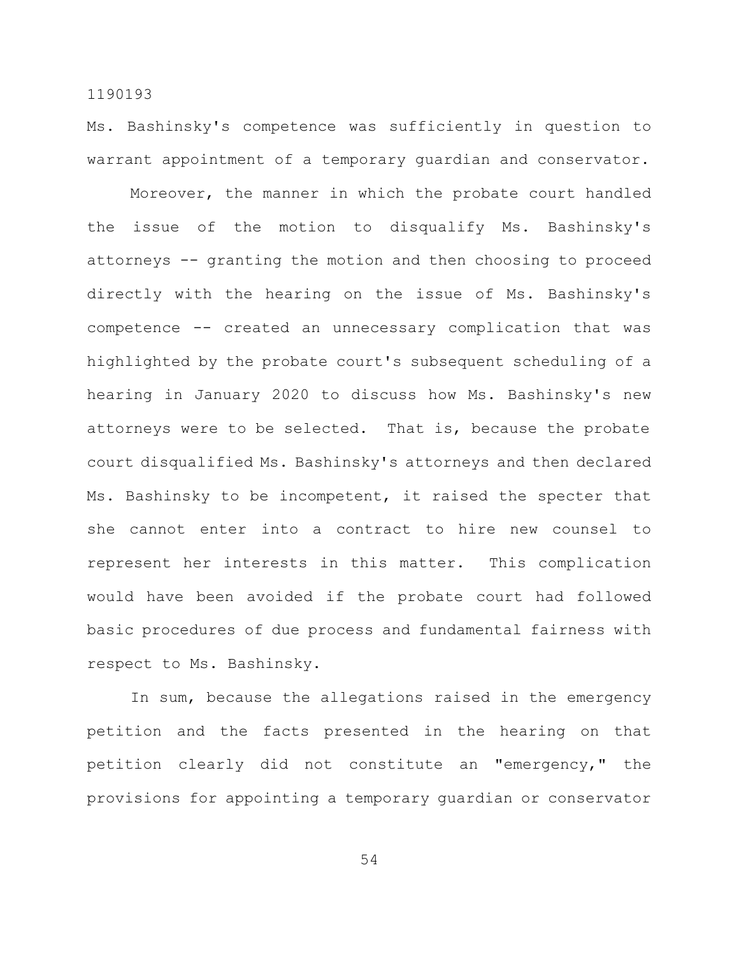Ms. Bashinsky's competence was sufficiently in question to warrant appointment of a temporary guardian and conservator.

Moreover, the manner in which the probate court handled the issue of the motion to disqualify Ms. Bashinsky's attorneys -- granting the motion and then choosing to proceed directly with the hearing on the issue of Ms. Bashinsky's competence -- created an unnecessary complication that was highlighted by the probate court's subsequent scheduling of a hearing in January 2020 to discuss how Ms. Bashinsky's new attorneys were to be selected. That is, because the probate court disqualified Ms. Bashinsky's attorneys and then declared Ms. Bashinsky to be incompetent, it raised the specter that she cannot enter into a contract to hire new counsel to represent her interests in this matter. This complication would have been avoided if the probate court had followed basic procedures of due process and fundamental fairness with respect to Ms. Bashinsky.

In sum, because the allegations raised in the emergency petition and the facts presented in the hearing on that petition clearly did not constitute an "emergency," the provisions for appointing a temporary guardian or conservator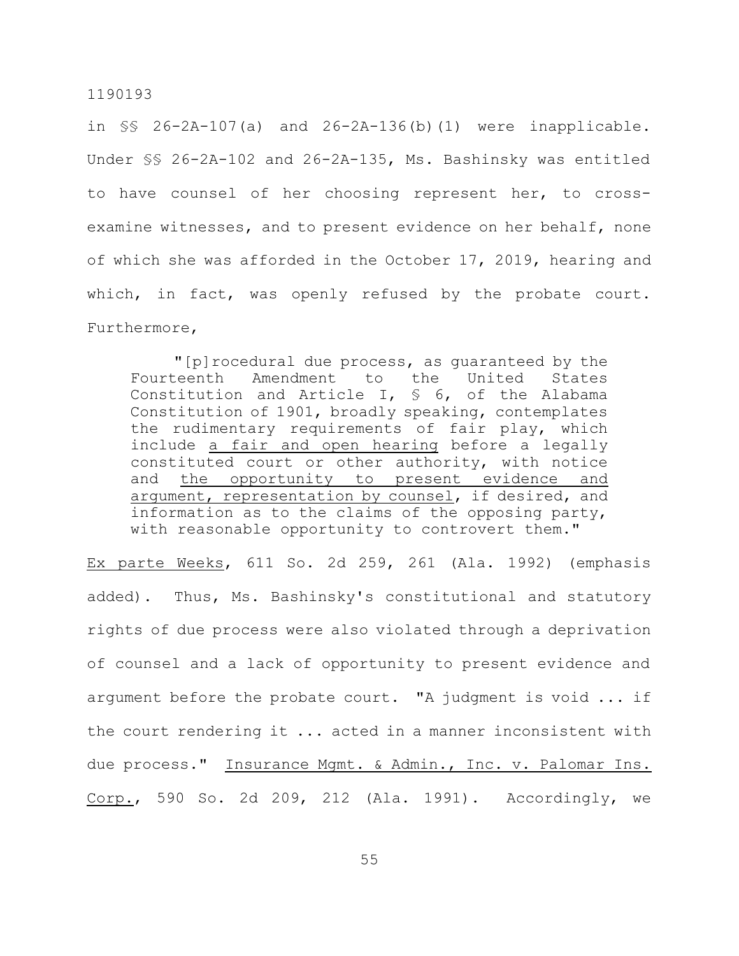in §§ 26-2A-107(a) and 26-2A-136(b)(1) were inapplicable. Under §§ 26-2A-102 and 26-2A-135, Ms. Bashinsky was entitled to have counsel of her choosing represent her, to crossexamine witnesses, and to present evidence on her behalf, none of which she was afforded in the October 17, 2019, hearing and which, in fact, was openly refused by the probate court. Furthermore,

"[p]rocedural due process, as guaranteed by the Fourteenth Amendment to the United States Constitution and Article I, § 6, of the Alabama Constitution of 1901, broadly speaking, contemplates the rudimentary requirements of fair play, which include a fair and open hearing before a legally constituted court or other authority, with notice and the opportunity to present evidence and argument, representation by counsel, if desired, and information as to the claims of the opposing party, with reasonable opportunity to controvert them."

Ex parte Weeks, 611 So. 2d 259, 261 (Ala. 1992) (emphasis added). Thus, Ms. Bashinsky's constitutional and statutory rights of due process were also violated through a deprivation of counsel and a lack of opportunity to present evidence and argument before the probate court. "A judgment is void ... if the court rendering it ... acted in a manner inconsistent with due process." Insurance Mgmt. & Admin., Inc. v. Palomar Ins. Corp., 590 So. 2d 209, 212 (Ala. 1991). Accordingly, we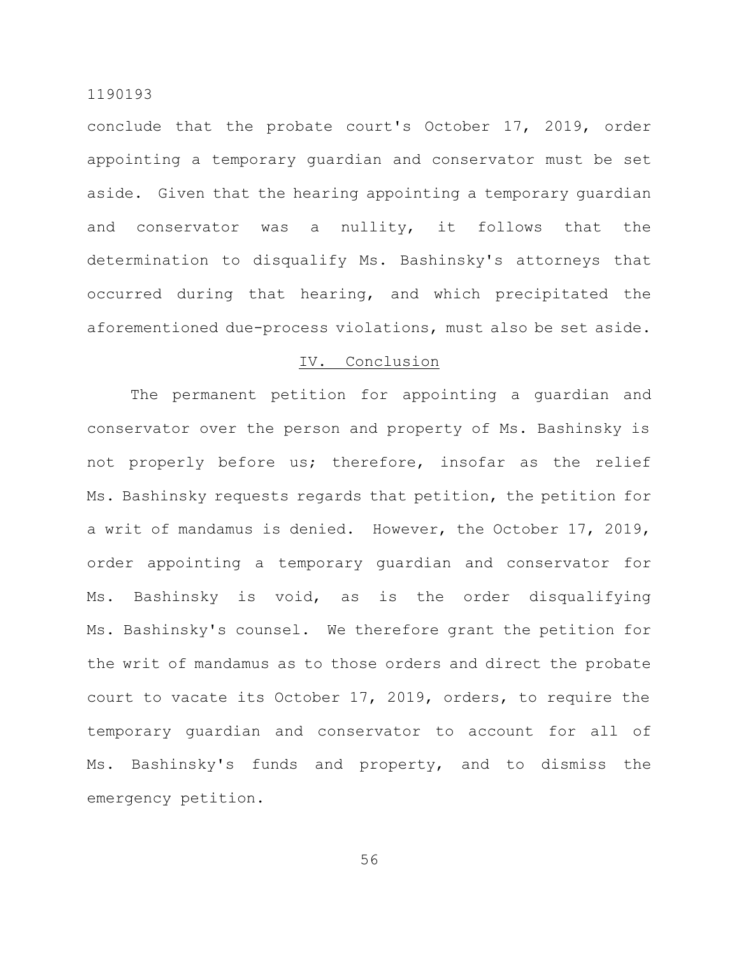conclude that the probate court's October 17, 2019, order appointing a temporary guardian and conservator must be set aside. Given that the hearing appointing a temporary guardian and conservator was a nullity, it follows that the determination to disqualify Ms. Bashinsky's attorneys that occurred during that hearing, and which precipitated the aforementioned due-process violations, must also be set aside.

## IV. Conclusion

The permanent petition for appointing a guardian and conservator over the person and property of Ms. Bashinsky is not properly before us; therefore, insofar as the relief Ms. Bashinsky requests regards that petition, the petition for a writ of mandamus is denied. However, the October 17, 2019, order appointing a temporary guardian and conservator for Ms. Bashinsky is void, as is the order disqualifying Ms. Bashinsky's counsel. We therefore grant the petition for the writ of mandamus as to those orders and direct the probate court to vacate its October 17, 2019, orders, to require the temporary guardian and conservator to account for all of Ms. Bashinsky's funds and property, and to dismiss the emergency petition.